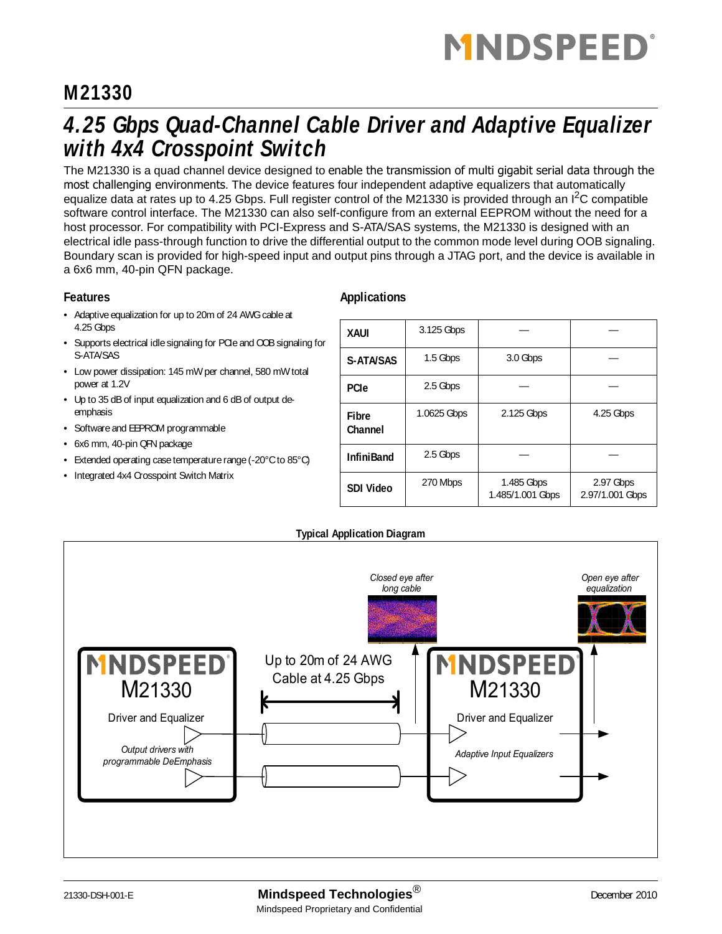# **MNDSPEED**

### **M21330**

### *4.25 Gbps Quad-Channel Cable Driver and Adaptive Equalizer with 4x4 Crosspoint Switch*

The M21330 is a quad channel device designed to enable the transmission of multi gigabit serial data through the most challenging environments. The device features four independent adaptive equalizers that automatically equalize data at rates up to 4.25 Gbps. Full register control of the M21330 is provided through an I<sup>2</sup>C compatible software control interface. The M21330 can also self-configure from an external EEPROM without the need for a host processor. For compatibility with PCI-Express and S-ATA/SAS systems, the M21330 is designed with an electrical idle pass-through function to drive the differential output to the common mode level during OOB signaling. Boundary scan is provided for high-speed input and output pins through a JTAG port, and the device is available in a 6x6 mm, 40-pin QFN package.

#### **Features**

- Adaptive equalization for up to 20m of 24 AWG cable at 4.25 Gbps
- Supports electrical idle signaling for PCIe and OOB signaling for S-ATA/SAS
- Low power dissipation: 145 mW per channel, 580 mW total power at 1.2V
- Up to 35 dB of input equalization and 6 dB of output deemphasis
- Software and EEPROM programmable
- 6x6 mm, 40-pin QFN package
- Extended operating case temperature range (-20°C to 85°C)
- Integrated 4x4 Crosspoint Switch Matrix

#### **Applications**

| <b>XAUI</b>             | 3.125 Gbps  |                                |                              |
|-------------------------|-------------|--------------------------------|------------------------------|
| S-ATA/SAS               | 1.5 Gbps    | 3.0 Gbps                       |                              |
| <b>PCIe</b>             | 2.5 Gbps    |                                |                              |
| <b>Fibre</b><br>Channel | 1.0625 Gbps | 2.125 Gbps                     | 4.25 Gbps                    |
| <b>InfiniBand</b>       | 2.5 Gbps    |                                |                              |
| <b>SDI Video</b>        | 270 Mbps    | 1.485 Gbps<br>1.485/1.001 Gbps | 2.97 Gbps<br>2.97/1.001 Gbps |

**Typical Application Diagram**

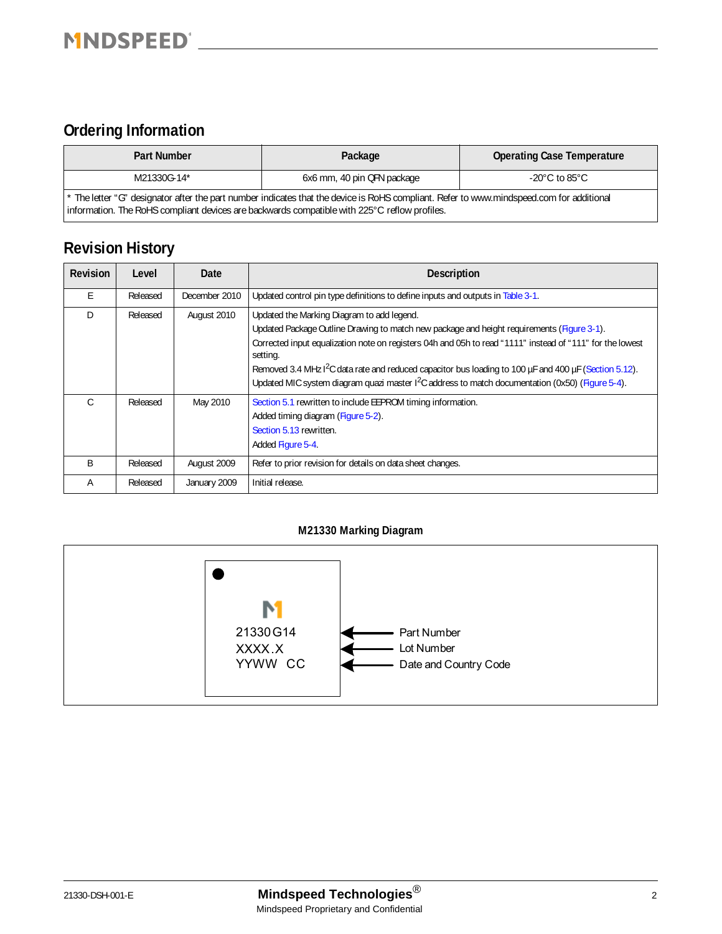### **Ordering Information**

| <b>Part Number</b>                                                                           | Package                                                                                                                                  | <b>Operating Case Temperature</b>   |
|----------------------------------------------------------------------------------------------|------------------------------------------------------------------------------------------------------------------------------------------|-------------------------------------|
| M21330G-14*                                                                                  | 6x6 mm, 40 pin QFN package                                                                                                               | -20 $^{\circ}$ C to 85 $^{\circ}$ C |
| information. The RoHS compliant devices are backwards compatible with 225°C reflow profiles. | * The letter "G" designator after the part number indicates that the device is RoHS compliant. Refer to www.mindspeed.com for additional |                                     |

### **Revision History**

| <b>Revision</b> | Level    | Date          | <b>Description</b>                                                                                                                                                                                                                                                                                                                                                                                                                                                                           |
|-----------------|----------|---------------|----------------------------------------------------------------------------------------------------------------------------------------------------------------------------------------------------------------------------------------------------------------------------------------------------------------------------------------------------------------------------------------------------------------------------------------------------------------------------------------------|
| E               | Released | December 2010 | Updated control pin type definitions to define inputs and outputs in Table 3-1.                                                                                                                                                                                                                                                                                                                                                                                                              |
| D               | Released | August 2010   | Updated the Marking Diagram to add legend.<br>Updated Package Outline Drawing to match new package and height requirements (Figure 3-1).<br>Corrected input equalization note on registers 04h and 05h to read "1111" instead of "111" for the lowest<br>setting.<br>Removed 3.4 MHz I <sup>2</sup> C data rate and reduced capacitor bus loading to 100 µF and 400 µF (Section 5.12).<br>Updated MIC system diagram quazi master $1^2C$ address to match documentation (0x50) (Figure 5-4). |
| C.              | Released | May 2010      | Section 5.1 rewritten to include EEPROM timing information.<br>Added timing diagram (Figure 5-2).<br>Section 5.13 rewritten.<br>Added Figure 5-4.                                                                                                                                                                                                                                                                                                                                            |
| B               | Released | August 2009   | Refer to prior revision for details on data sheet changes.                                                                                                                                                                                                                                                                                                                                                                                                                                   |
| Α               | Released | January 2009  | Initial release.                                                                                                                                                                                                                                                                                                                                                                                                                                                                             |

#### **M21330 Marking Diagram**

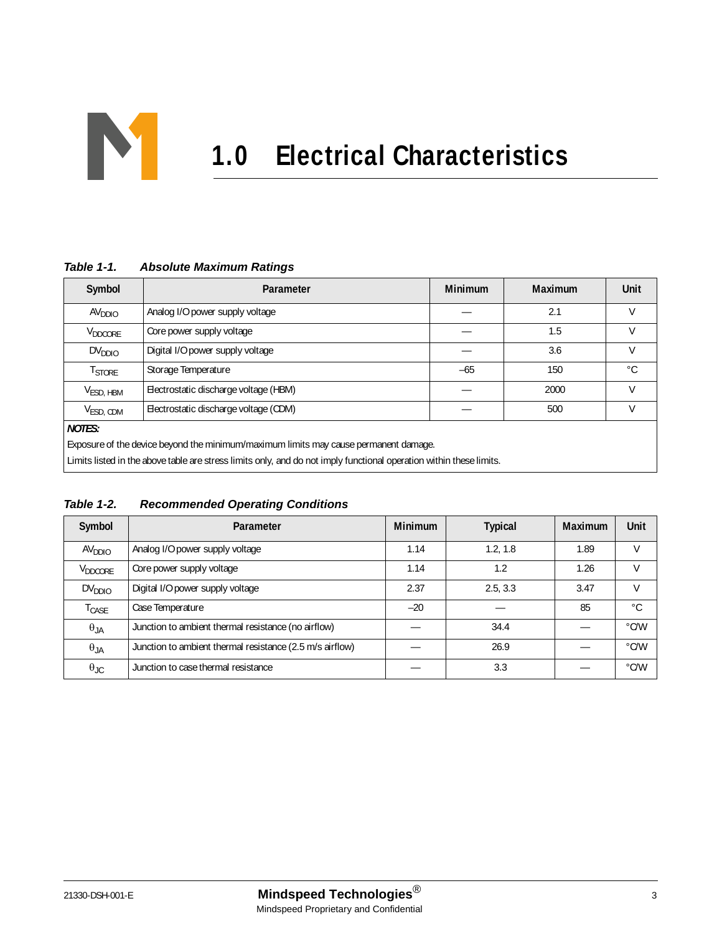

| Symbol              | Parameter                                                                                                           | <b>Minimum</b> | <b>Maximum</b> | Unit        |
|---------------------|---------------------------------------------------------------------------------------------------------------------|----------------|----------------|-------------|
| AV <sub>DDIO</sub>  | Analog I/O power supply voltage                                                                                     |                | 2.1            | V           |
| V <sub>DDCORE</sub> | Core power supply voltage                                                                                           |                | 1.5            | $\vee$      |
| DV <sub>DDIO</sub>  | Digital I/O power supply voltage                                                                                    |                | 3.6            | V           |
| T <sub>STORE</sub>  | Storage Temperature                                                                                                 | $-65$          | 150            | $^{\circ}C$ |
| $V_{ESD, HBM}$      | Electrostatic discharge voltage (HBM)                                                                               |                | 2000           | $\vee$      |
| $V_{ESD, CDM}$      | Electrostatic discharge voltage (CDM)                                                                               |                | 500            | V           |
| <b>NOTES:</b>       |                                                                                                                     |                |                |             |
|                     | Exposure of the device beyond the minimum/maximum limits may cause permanent damage.                                |                |                |             |
|                     | Limits listed in the above table are stress limits only, and do not imply functional operation within these limits. |                |                |             |

#### *Table 1-1. Absolute Maximum Ratings*

*Table 1-2. Recommended Operating Conditions*

| Symbol               | Parameter                                                | <b>Minimum</b> | <b>Typical</b> | <b>Maximum</b> | <b>Unit</b>   |
|----------------------|----------------------------------------------------------|----------------|----------------|----------------|---------------|
| AV <sub>DDIO</sub>   | Analog I/O power supply voltage                          | 1.14           | 1.2, 1.8       | 1.89           | V             |
| V <sub>DDCORE</sub>  | Core power supply voltage                                | 1.14           | 1.2            | 1.26           | $\vee$        |
| DV <sub>DDIO</sub>   | Digital I/O power supply voltage                         | 2.37           | 2.5.3.3        | 3.47           |               |
| $T_{\mathsf{CASE}}$  | Case Temperature                                         | $-20$          |                | 85             | °C            |
| $\theta_{JA}$        | Junction to ambient thermal resistance (no airflow)      |                | 34.4           |                | $\degree$ C/W |
| $\theta_{JA}$        | Junction to ambient thermal resistance (2.5 m/s airflow) |                | 26.9           |                | $\degree$ C/W |
| $\theta_{\text{JC}}$ | Junction to case thermal resistance                      |                | 3.3            |                | $\degree$ C/W |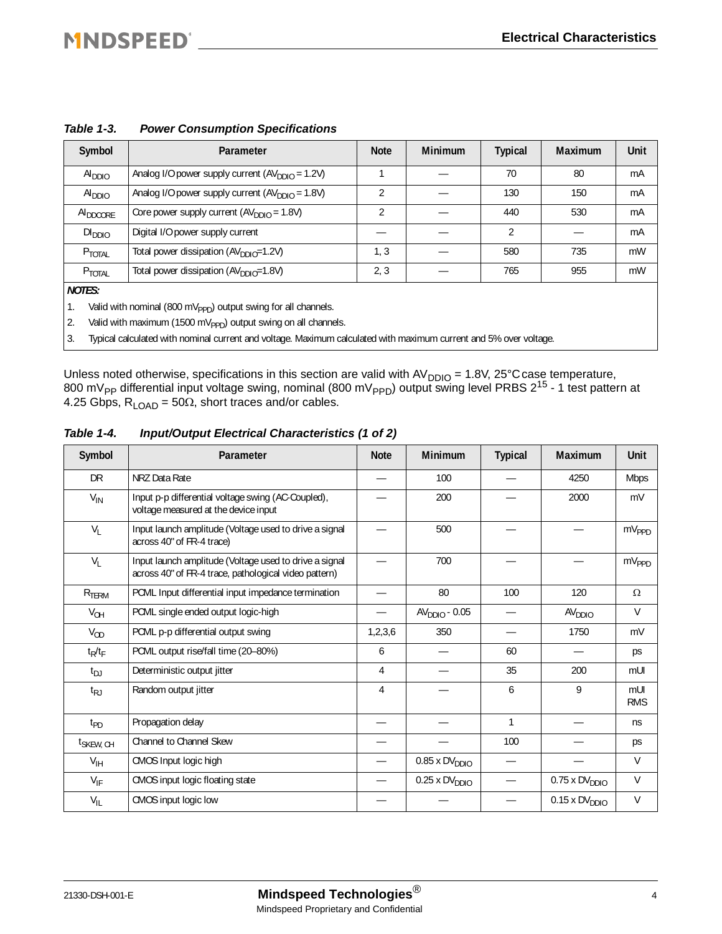| Symbol               | Parameter                                            | <b>Note</b> | <b>Minimum</b> | <b>Typical</b> | Maximum | Unit |
|----------------------|------------------------------------------------------|-------------|----------------|----------------|---------|------|
| Al <sub>DDIO</sub>   | Analog I/O power supply current $(AV_{DDIO} = 1.2V)$ |             |                | 70             | 80      | mA   |
| AI <sub>DDIO</sub>   | Analog I/O power supply current $(AVDDIO = 1.8V)$    | C.          |                | 130            | 150     | mA   |
| AI <sub>DDCORE</sub> | Core power supply current $(AV_{DDIO} = 1.8V)$       | 2           |                | 440            | 530     | mA   |
| DI <sub>DDIO</sub>   | Digital I/O power supply current                     |             |                | 2              |         | mA   |
| P <sub>TOTAL</sub>   | Total power dissipation $(AVDDIO=1.2V)$              | 1, 3        |                | 580            | 735     | mW   |
| P <sub>TOTAL</sub>   | Total power dissipation (AV <sub>DDIO</sub> =1.8V)   | 2, 3        |                | 765            | 955     | mW   |
| $ - - -$             |                                                      |             |                |                |         |      |

#### *Table 1-3. Power Consumption Specifications*

*NOTES:*

1. Valid with nominal (800 mV<sub>PPD</sub>) output swing for all channels.

2. Valid with maximum (1500 mV<sub>PPD</sub>) output swing on all channels.

3. Typical calculated with nominal current and voltage. Maximum calculated with maximum current and 5% over voltage.

Unless noted otherwise, specifications in this section are valid with  $AV_{DDIO} = 1.8V$ , 25°C case temperature, 800 mV<sub>PP</sub> differential input voltage swing, nominal (800 mV<sub>PPD</sub>) output swing level PRBS 2<sup>15</sup> - 1 test pattern at 4.25 Gbps,  $R_{\text{LOAD}} = 50\Omega$ , short traces and/or cables.

| Symbol                 | Parameter                                                                                                       | <b>Note</b> | <b>Minimum</b>          | <b>Typical</b>           | <b>Maximum</b>                   | <b>Unit</b>       |
|------------------------|-----------------------------------------------------------------------------------------------------------------|-------------|-------------------------|--------------------------|----------------------------------|-------------------|
| <b>DR</b>              | NRZ Data Rate                                                                                                   |             | 100                     |                          | 4250                             | <b>Mbps</b>       |
| $V_{IN}$               | Input p-p differential voltage swing (AC-Coupled),<br>voltage measured at the device input                      |             | 200                     |                          | 2000                             | mV                |
| $V_{L}$                | Input launch amplitude (Voltage used to drive a signal<br>across 40" of FR-4 trace)                             |             | 500                     |                          |                                  | $mV_{PPD}$        |
| $V_{L}$                | Input launch amplitude (Voltage used to drive a signal<br>across 40" of FR-4 trace, pathological video pattern) |             | 700                     |                          |                                  | $mV_{PPD}$        |
| R <sub>TERM</sub>      | PCML Input differential input impedance termination                                                             |             | 80                      | 100                      | 120                              | $\Omega$          |
| $V_{OH}$               | PCML single ended output logic-high                                                                             |             | $AVDDIO - 0.05$         | $\overline{\phantom{0}}$ | AV <sub>DDO</sub>                | V                 |
| $V_{OD}$               | PCML p-p differential output swing                                                                              | 1, 2, 3, 6  | 350                     |                          | 1750                             | mV                |
| $t_R/t_F$              | PCML output rise/fall time (20-80%)                                                                             | 6           |                         | 60                       |                                  | ps                |
| $t_{DJ}$               | Deterministic output jitter                                                                                     | 4           |                         | 35                       | 200                              | mUI               |
| $t_{RJ}$               | Random output jitter                                                                                            | 4           |                         | 6                        | 9                                | mUI<br><b>RMS</b> |
| $t_{PD}$               | Propagation delay                                                                                               |             |                         | 1                        |                                  | ns                |
| t <sub>SKEW</sub> , CH | Channel to Channel Skew                                                                                         |             |                         | 100                      |                                  | ps                |
| $V_{\text{IH}}$        | CMOS Input logic high                                                                                           |             | $0.85 \times DV_{DDIO}$ |                          |                                  | V                 |
| $V_{IF}$               | CMOS input logic floating state                                                                                 |             | $0.25 \times DVDDIO$    |                          | $0.75 \times DV_{DDIO}$          | V                 |
| $V_{IL}$               | CMOS input logic low                                                                                            |             |                         |                          | $0.15 \times DV$ <sub>DDIO</sub> | V                 |

#### *Table 1-4. Input/Output Electrical Characteristics (1 of 2)*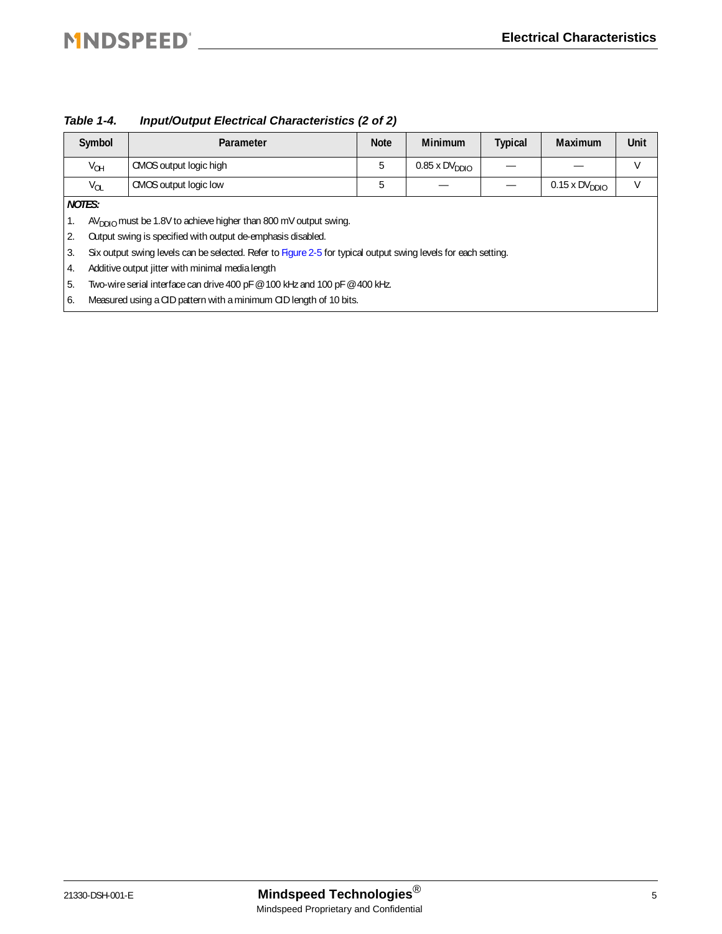|    | Symbol        | Parameter                                                                                                      | <b>Note</b> | <b>Minimum</b>       | <b>Typical</b> | Maximum              | Unit |
|----|---------------|----------------------------------------------------------------------------------------------------------------|-------------|----------------------|----------------|----------------------|------|
|    | $V_{OH}$      | CMOS output logic high                                                                                         | 5           | $0.85 \times DVDDIO$ |                |                      | V    |
|    | $V_{OL}$      | CMOS output logic low                                                                                          | 5           |                      |                | $0.15 \times DVDDIO$ | V    |
|    | <b>NOTES:</b> |                                                                                                                |             |                      |                |                      |      |
| 1. |               | $AVDDO$ must be 1.8V to achieve higher than 800 mV output swing.                                               |             |                      |                |                      |      |
| 2. |               | Output swing is specified with output de-emphasis disabled.                                                    |             |                      |                |                      |      |
| 3. |               | Six output swing levels can be selected. Refer to Figure 2-5 for typical output swing levels for each setting. |             |                      |                |                      |      |
| 4. |               | Additive output jitter with minimal media length                                                               |             |                      |                |                      |      |
| 5. |               | Two-wire serial interface can drive 400 pF @ 100 kHz and 100 pF @ 400 kHz.                                     |             |                      |                |                      |      |
| 6. |               | Measured using a CID pattern with a minimum CID length of 10 bits.                                             |             |                      |                |                      |      |

*Table 1-4. Input/Output Electrical Characteristics (2 of 2)*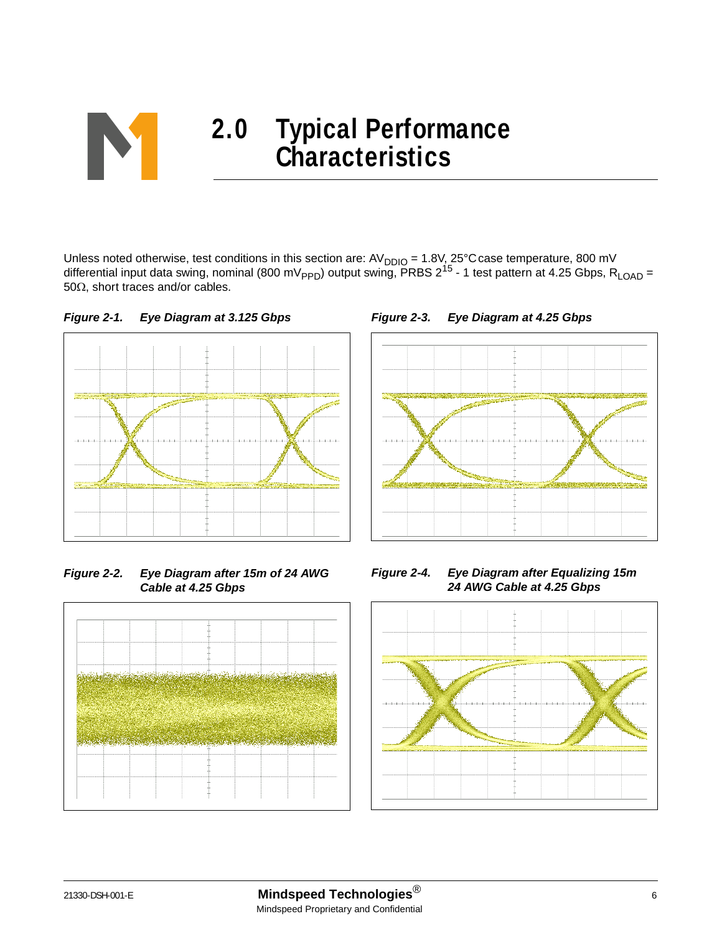

Unless noted otherwise, test conditions in this section are:  $AV_{DDIO} = 1.8V, 25^{\circ}$ C case temperature, 800 mV differential input data swing, nominal (800 mV<sub>PPD</sub>) output swing, PRBS 2<sup>15</sup> - 1 test pattern at 4.25 Gbps, R<sub>LOAD</sub> = 50Ω, short traces and/or cables.





*Figure 2-2. Eye Diagram after 15m of 24 AWG Cable at 4.25 Gbps*



*Figure 2-3. Eye Diagram at 4.25 Gbps*



*Figure 2-4. Eye Diagram after Equalizing 15m 24 AWG Cable at 4.25 Gbps*

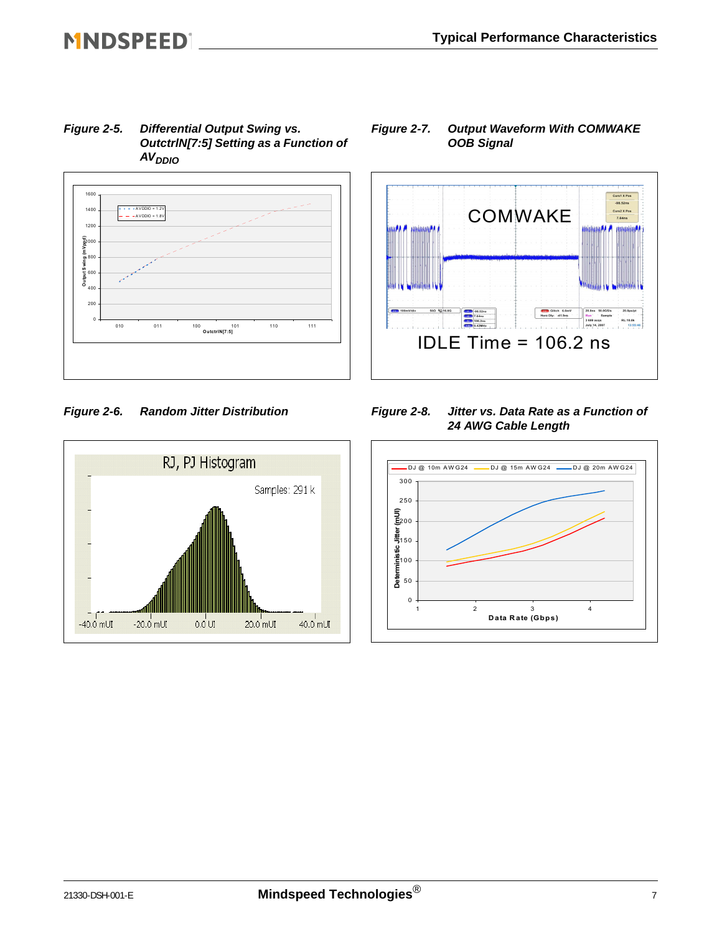<span id="page-6-0"></span>*Figure 2-5. Differential Output Swing vs. OutctrlN[7:5] Setting as a Function of AVDDIO*



#### *Figure 2-6. Random Jitter Distribution*



#### *Figure 2-7. Output Waveform With COMWAKE OOB Signal*



#### *Figure 2-8. Jitter vs. Data Rate as a Function of 24 AWG Cable Length*

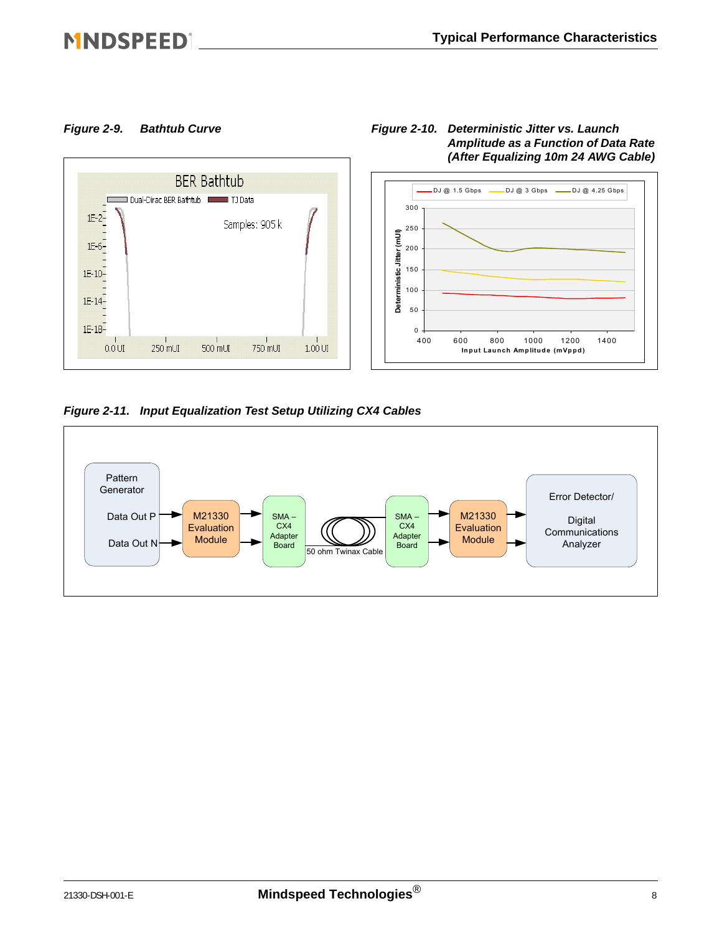## **MNDSPEED**|



#### *Figure 2-9. Bathtub Curve Figure 2-10. Deterministic Jitter vs. Launch Amplitude as a Function of Data Rate (After Equalizing 10m 24 AWG Cable)*

*Figure 2-11. Input Equalization Test Setup Utilizing CX4 Cables*

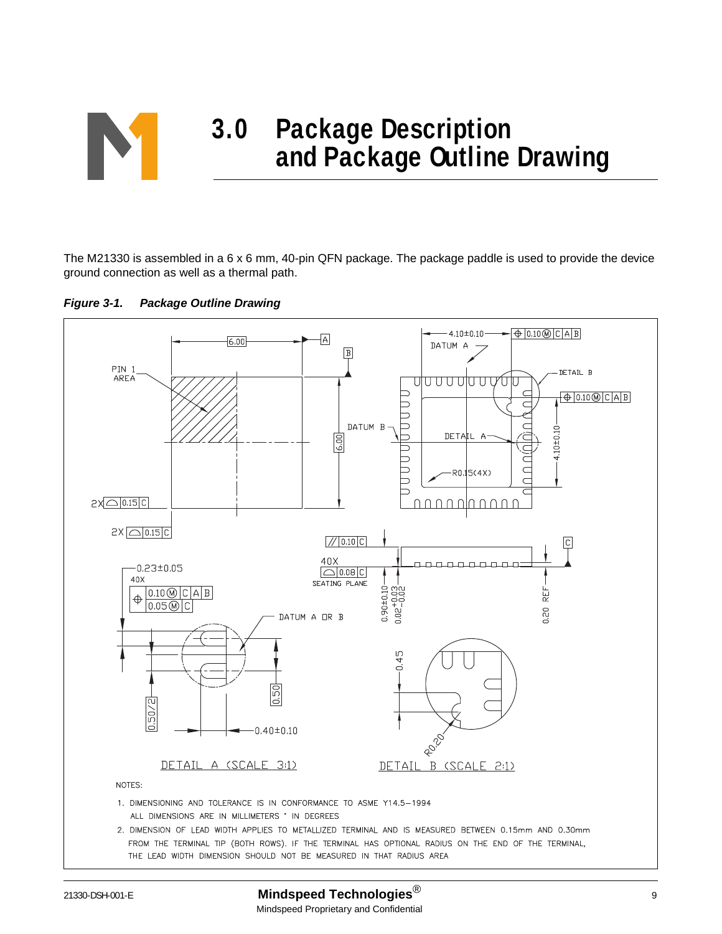

The M21330 is assembled in a 6 x 6 mm, 40-pin QFN package. The package paddle is used to provide the device ground connection as well as a thermal path.



<span id="page-8-0"></span>

#### 21330-DSH-001-E **Mindspeed Technologies**® <sup>9</sup> Mindspeed Proprietary and Confidential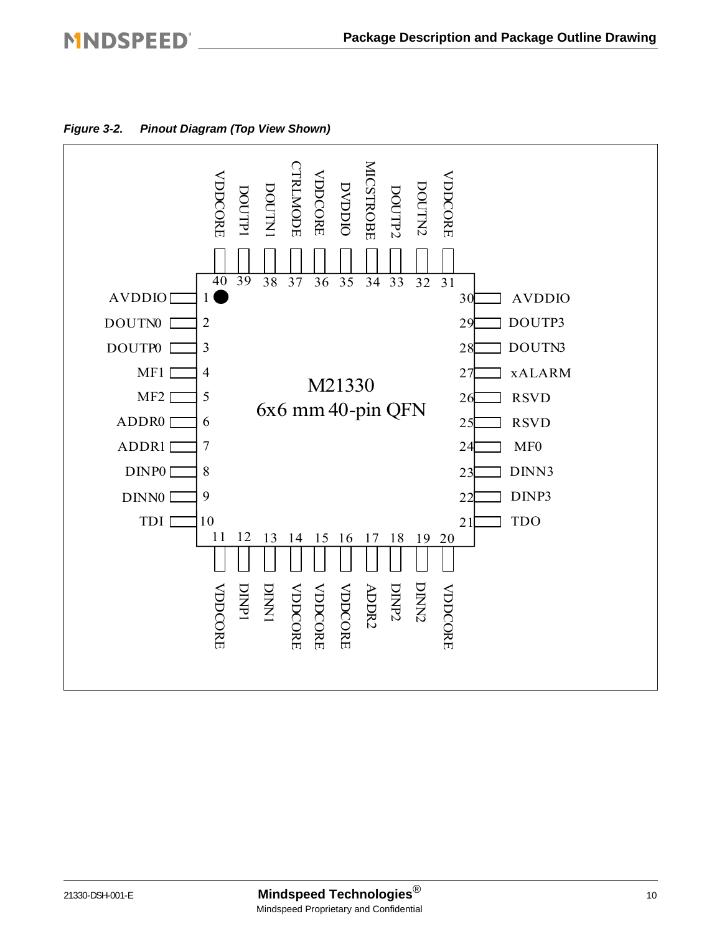### **MNDSPEED®**



*Figure 3-2. Pinout Diagram (Top View Shown)*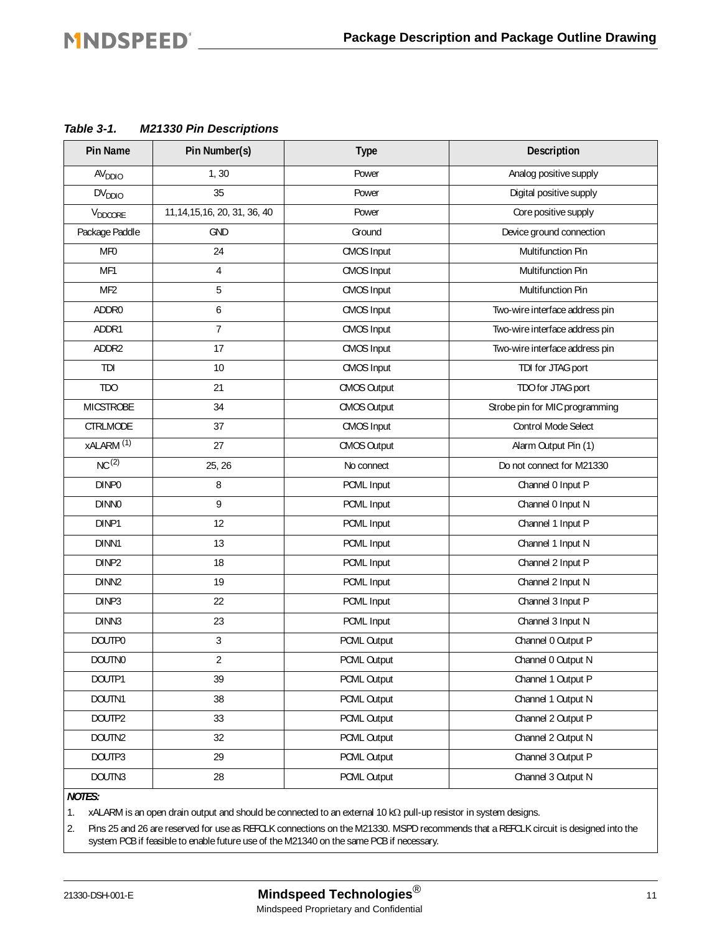<span id="page-10-0"></span>

| Table 3-1. | <b>M21330 Pin Descriptions</b> |
|------------|--------------------------------|
|------------|--------------------------------|

| <b>Pin Name</b>       | Pin Number(s)                  | <b>Type</b> | Description                    |
|-----------------------|--------------------------------|-------------|--------------------------------|
| AV <sub>DDIO</sub>    | 1, 30                          | Power       | Analog positive supply         |
| DV <sub>DDIO</sub>    | 35                             | Power       | Digital positive supply        |
| $V_{DDCORE}$          | 11, 14, 15, 16, 20, 31, 36, 40 | Power       | Core positive supply           |
| Package Paddle        | <b>GND</b>                     | Ground      | Device ground connection       |
| MF <sub>0</sub>       | 24                             | CMOS Input  | Multifunction Pin              |
| MF1                   | 4                              | CMOS Input  | Multifunction Pin              |
| MF <sub>2</sub>       | 5                              | CMOS Input  | Multifunction Pin              |
| ADDR0                 | 6                              | CMOS Input  | Two-wire interface address pin |
| ADDR1                 | $\overline{7}$                 | CMOS Input  | Two-wire interface address pin |
| ADDR2                 | 17                             | CMOS Input  | Two-wire interface address pin |
| TDI                   | 10                             | CMOS Input  | TDI for JTAG port              |
| TD <sub>O</sub>       | 21                             | CMOS Output | TDO for JTAG port              |
| <b>MICSTROBE</b>      | 34                             | CMOS Output | Strobe pin for MIC programming |
| CTRLMODE              | 37                             | CMOS Input  | Control Mode Select            |
| xALARM <sup>(1)</sup> | 27                             | CMOS Output | Alarm Output Pin (1)           |
| NC <sup>(2)</sup>     | 25, 26                         | No connect  | Do not connect for M21330      |
| DINP0                 | 8                              | PCML Input  | Channel 0 Input P              |
| <b>DINNO</b>          | 9                              | PCML Input  | Channel 0 Input N              |
| DINP1                 | 12                             | PCML Input  | Channel 1 Input P              |
| DINN1                 | 13                             | PCML Input  | Channel 1 Input N              |
| DINP2                 | 18                             | PCML Input  | Channel 2 Input P              |
| DINN <sub>2</sub>     | 19                             | PCML Input  | Channel 2 Input N              |
| DINP3                 | 22                             | PCML Input  | Channel 3 Input P              |
| DINN3                 | 23                             | PCML Input  | Channel 3 Input N              |
| DOUTP0                | 3                              | PCML Output | Channel 0 Output P             |
| DOUTN0                | $\overline{2}$                 | PCML Output | Channel 0 Output N             |
| DOUTP1                | 39                             | PCML Output | Channel 1 Output P             |
| DOUTN1                | 38                             | PCML Output | Channel 1 Output N             |
| DOUTP2                | 33                             | PCML Output | Channel 2 Output P             |
| DOUTN2                | 32                             | PCML Output | Channel 2 Output N             |
| DOUTP3                | 29                             | PCML Output | Channel 3 Output P             |
| DOUTN3                | 28                             | PCML Output | Channel 3 Output N             |

*NOTES:*

1. xALARM is an open drain output and should be connected to an external 10 kΩ pull-up resistor in system designs.

2. Pins 25 and 26 are reserved for use as REFCLK connections on the M21330. MSPD recommends that a REFCLK circuit is designed into the system PCB if feasible to enable future use of the M21340 on the same PCB if necessary.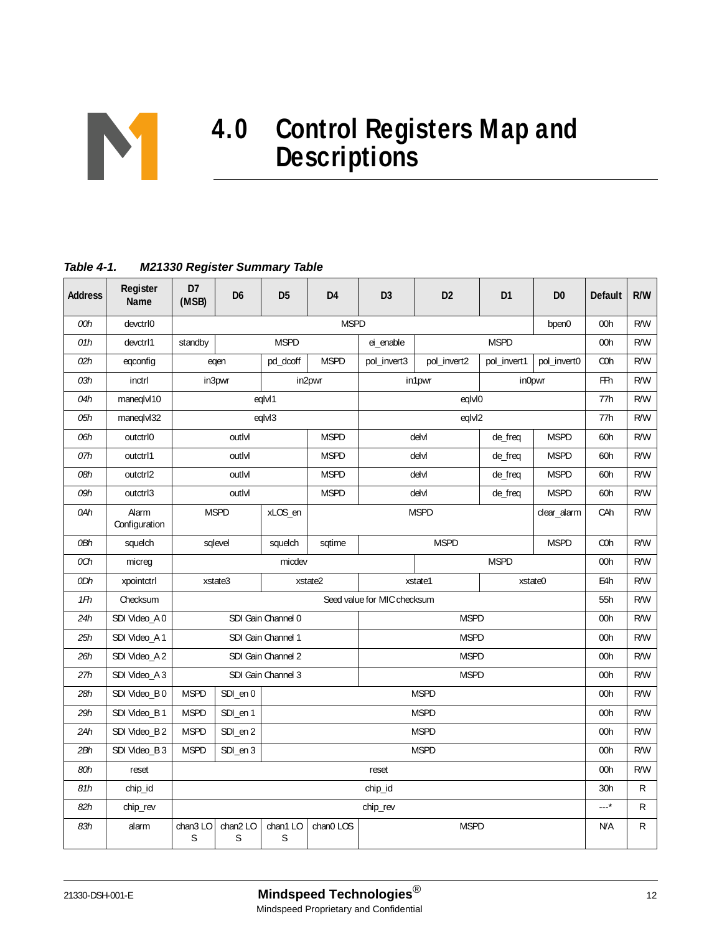

# **4.0 Control Registers Map and Descriptions**

#### <span id="page-11-0"></span>*Table 4-1. M21330 Register Summary Table*

| <b>Address</b> | Register<br>Name       | D7<br>(MSB)            | D6                 | D <sub>5</sub>     | D <sub>4</sub>             | D <sub>3</sub>              | D <sub>2</sub> | D <sub>1</sub> | D <sub>0</sub> | <b>Default</b>   | R/W |
|----------------|------------------------|------------------------|--------------------|--------------------|----------------------------|-----------------------------|----------------|----------------|----------------|------------------|-----|
| 00h            | devctrl0               |                        |                    |                    | <b>MSPD</b>                |                             |                |                | bpen0          | 00h              | R/W |
| 01h            | devctrl1               | standby                |                    | <b>MSPD</b>        |                            | ei_enable                   |                | <b>MSPD</b>    |                | 00h              | R/W |
| 02h            | egconfig               |                        | eqen               | pd_dcoff           | <b>MSPD</b>                | pol_invert3                 | pol_invert2    | pol_invert1    | pol_invert0    | C <sub>O</sub> h | R/W |
| 03h            | inctrl                 |                        | in3pwr             |                    | in2pwr                     |                             | in1pwr         |                | in0pwr         | FFh              | R/W |
| 04h            | maneqlvl10             |                        |                    | eqlvl1             |                            |                             | eqlvl0         |                |                | 77h              | R/W |
| 05h            | maneqlvl32             |                        |                    | eqlvl3             |                            |                             | eqlvl2         |                |                | 77h              | R/W |
| 06h            | outctrl0               |                        | outlyl             |                    | <b>MSPD</b>                |                             | delvl          | de_freq        | <b>MSPD</b>    | 60h              | R/W |
| 07h            | outctrl1               |                        | outlyl             |                    | <b>MSPD</b>                |                             | delvl          | de_freq        | <b>MSPD</b>    | 60h              | R/W |
| 08h            | outctrl2               |                        | outlyl             |                    | <b>MSPD</b>                |                             | delvl          | de_freq        | <b>MSPD</b>    | 60h              | R/W |
| 09h            | outctrl3               |                        | outlyl             |                    | <b>MSPD</b>                |                             | delvl          | de_freq        | <b>MSPD</b>    | 60h              | R/W |
| 0Ah            | Alarm<br>Configuration | <b>MSPD</b><br>xLOS_en |                    |                    | <b>MSPD</b><br>clear_alarm |                             |                |                | CAh            | R/W              |     |
| 0Bh            | squelch                |                        | squelch<br>sqlevel |                    | sqtime                     | <b>MSPD</b><br><b>MSPD</b>  |                |                |                | C <sub>O</sub> h | R/W |
| 0Ch            | micreq                 |                        |                    | micdev             |                            |                             |                | <b>MSPD</b>    |                | 00h              | R/W |
| 0Dh            | xpointctrl             |                        | xstate3            |                    | xstate2                    |                             | xstate1        |                | xstate0        | E4h              | R/W |
| 1Fh            | Checksum               |                        |                    |                    |                            | Seed value for MIC checksum |                |                |                | 55h              | R/W |
| 24h            | SDI Video_A 0          |                        |                    | SDI Gain Channel 0 |                            |                             | <b>MSPD</b>    |                |                | 00h              | R/W |
| 25h            | SDI Video_A 1          |                        |                    | SDI Gain Channel 1 |                            |                             |                | 00h            | R/W            |                  |     |
| 26h            | SDI Video_A 2          |                        |                    | SDI Gain Channel 2 |                            |                             | <b>MSPD</b>    |                |                | 00h              | R/W |
| 27h            | SDI Video_A 3          |                        |                    | SDI Gain Channel 3 |                            |                             | <b>MSPD</b>    |                |                | 00h              | R/W |
| 28h            | SDI Video_B 0          | <b>MSPD</b>            | SDI_en 0           |                    |                            |                             | <b>MSPD</b>    |                |                | 00h              | R/W |
| 29h            | SDI Video_B 1          | <b>MSPD</b>            | SDI_en 1           |                    |                            |                             | <b>MSPD</b>    |                |                | 00h              | R/W |
| 2Ah            | SDI Video_B 2          | <b>MSPD</b>            | SDI_en 2           |                    |                            |                             | <b>MSPD</b>    |                |                | 00h              | R/W |
| 2Bh            | SDI Video_B 3          | <b>MSPD</b>            | SDI_en 3           |                    |                            |                             | <b>MSPD</b>    |                |                | 00h              | R/W |
| 80h            | reset                  |                        |                    |                    |                            | reset                       |                |                |                | 00h              | R/W |
| 81h            | chip_id                |                        |                    |                    |                            | chip_id                     |                |                |                | 30h              | R   |
| 82h            | chip_rev               |                        |                    |                    |                            | chip_rev                    |                |                |                | *                | R   |
| 83h            | alarm                  | chan3LO<br>S           | chan2LO<br>S       | chan1LO<br>S       | chan0 LOS                  |                             | <b>MSPD</b>    |                |                | N/A              | R   |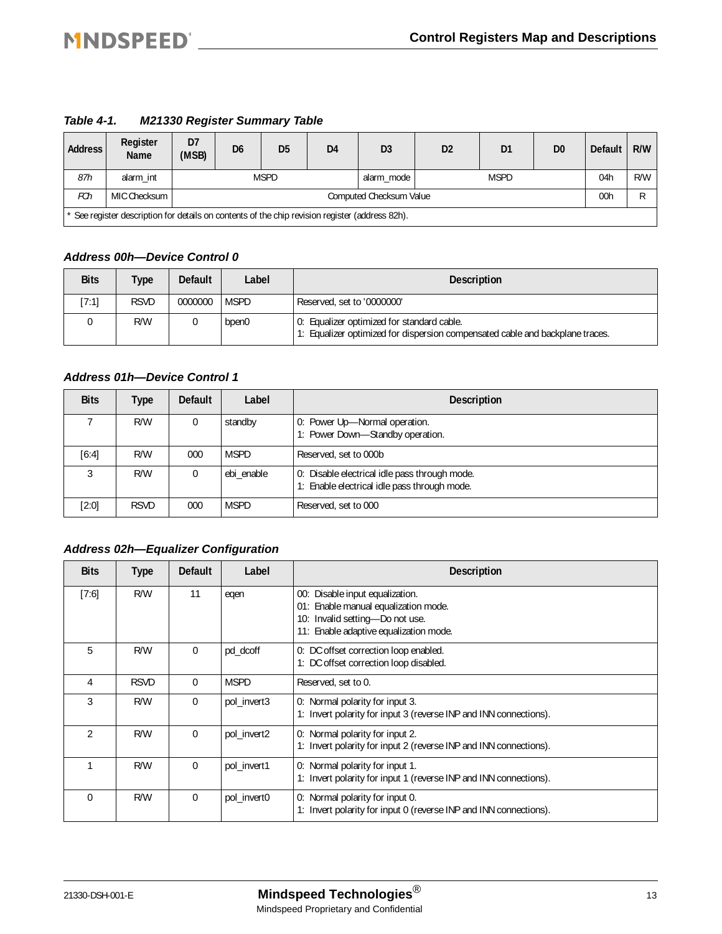*Table 4-1. M21330 Register Summary Table*

| <b>Address</b> | Register<br>Name                                                                                | D7<br>(MSB) | D <sub>6</sub>          | D <sub>5</sub> | D <sub>4</sub> | D <sub>3</sub> | D <sub>2</sub> | D <sub>1</sub> | D <sub>0</sub> | <b>Default</b> | R/W |
|----------------|-------------------------------------------------------------------------------------------------|-------------|-------------------------|----------------|----------------|----------------|----------------|----------------|----------------|----------------|-----|
| 87h            | alarm int                                                                                       |             |                         | <b>MSPD</b>    |                | alarm mode     | <b>MSPD</b>    |                |                | 04h            | R/W |
| FCh            | MIC Checksum                                                                                    |             | Computed Checksum Value |                |                |                |                |                |                |                |     |
|                | * See register description for details on contents of the chip revision register (address 82h). |             |                         |                |                |                |                |                |                |                |     |

#### *Address 00h—Device Control 0*

| <b>Bits</b> | <b>Type</b> | <b>Default</b> | Label       | <b>Description</b>                                                                                                          |
|-------------|-------------|----------------|-------------|-----------------------------------------------------------------------------------------------------------------------------|
| [7:1]       | <b>RSVD</b> | 0000000        | <b>MSPD</b> | Reserved, set to '0000000'                                                                                                  |
|             | R/W         |                | bpen0       | 0: Equalizer optimized for standard cable.<br>1: Equalizer optimized for dispersion compensated cable and backplane traces. |

#### *Address 01h—Device Control 1*

| <b>Bits</b> | Type        | <b>Default</b> | Label       | <b>Description</b>                                                                            |
|-------------|-------------|----------------|-------------|-----------------------------------------------------------------------------------------------|
|             | R/W         | 0              | standby     | 0: Power Up-Normal operation.<br>1: Power Down-Standby operation.                             |
| [6:4]       | R/W         | 000            | <b>MSPD</b> | Reserved, set to 000b                                                                         |
|             | R/W         | $\Omega$       | ebi enable  | 0: Disable electrical idle pass through mode.<br>1: Enable electrical idle pass through mode. |
| [2:0]       | <b>RSVD</b> | 000            | <b>MSPD</b> | Reserved, set to 000                                                                          |

#### *Address 02h—Equalizer Configuration*

| <b>Bits</b>    | <b>Type</b> | <b>Default</b> | Label       | <b>Description</b>                                                                                                                                   |
|----------------|-------------|----------------|-------------|------------------------------------------------------------------------------------------------------------------------------------------------------|
| [7:6]          | R/W         | 11             | egen        | 00: Disable input equalization.<br>01: Enable manual equalization mode.<br>10: Invalid setting-Do not use.<br>11: Enable adaptive equalization mode. |
| 5              | R/W         | 0              | pd_dcoff    | 0: DC offset correction loop enabled.<br>1: DC offset correction loop disabled.                                                                      |
| 4              | <b>RSVD</b> | $\Omega$       | <b>MSPD</b> | Reserved, set to 0.                                                                                                                                  |
| 3              | R/W         | $\Omega$       | pol_invert3 | 0: Normal polarity for input 3.<br>1: Invert polarity for input 3 (reverse INP and INN connections).                                                 |
| $\mathfrak{D}$ | R/W         | $\Omega$       | pol_invert2 | 0: Normal polarity for input 2.<br>1: Invert polarity for input 2 (reverse INP and INN connections).                                                 |
|                | R/W         | $\Omega$       | pol invert1 | 0: Normal polarity for input 1.<br>1: Invert polarity for input 1 (reverse INP and INN connections).                                                 |
| $\Omega$       | R/W         | $\Omega$       | pol_invert0 | 0: Normal polarity for input 0.<br>1: Invert polarity for input 0 (reverse INP and INN connections).                                                 |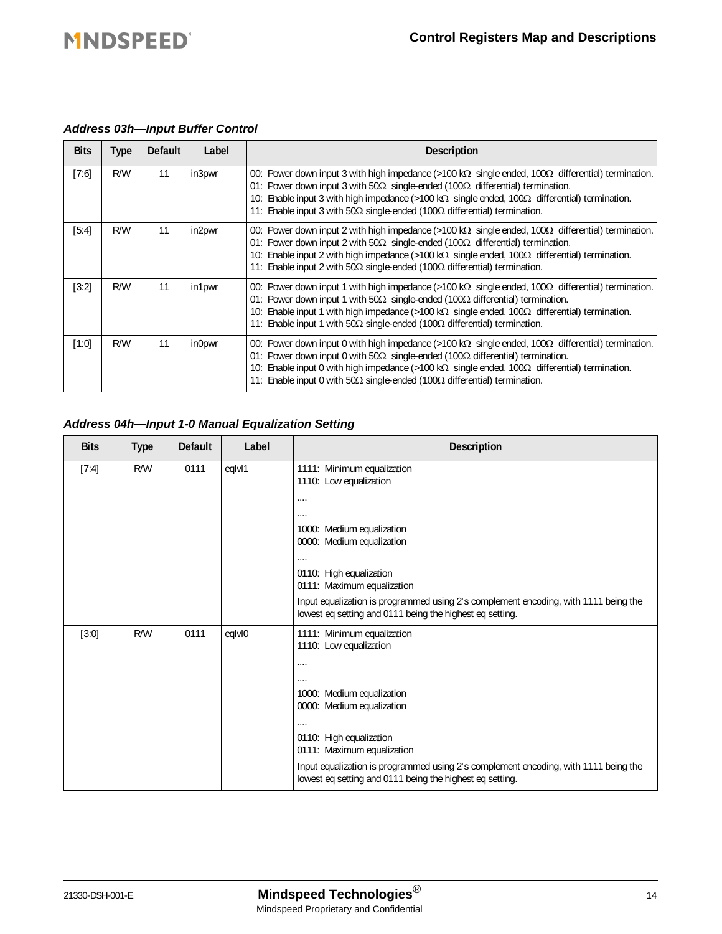#### *Address 03h—Input Buffer Control*

| <b>Bits</b> | Type | <b>Default</b> | Label  | <b>Description</b>                                                                                                                                                                                                                                                                                                                                                                                                    |
|-------------|------|----------------|--------|-----------------------------------------------------------------------------------------------------------------------------------------------------------------------------------------------------------------------------------------------------------------------------------------------------------------------------------------------------------------------------------------------------------------------|
| [7:6]       | R/W  | 11             | in3pwr | 00: Power down input 3 with high impedance (>100 kΩ single ended, $100Ω$ differential) termination.<br>01: Power down input 3 with $50\Omega$ single-ended (100 $\Omega$ differential) termination.<br>10: Enable input 3 with high impedance (>100 k $\Omega$ single ended, 100 $\Omega$ differential) termination.<br>11: Enable input 3 with 50 $\Omega$ single-ended (100 $\Omega$ differential) termination.     |
| [5:4]       | R/W  | 11             | in2pwr | 00: Power down input 2 with high impedance (>100 kΩ single ended, 100Ω differential) termination.<br>01: Power down input 2 with $50\Omega$ single-ended (100 $\Omega$ differential) termination.<br>10: Enable input 2 with high impedance $(>100 \text{ k}\Omega)$ single ended, $100\Omega$ differential) termination.<br>11: Enable input 2 with $50\Omega$ single-ended (100 $\Omega$ differential) termination. |
| $[3:2]$     | R/W  | 11             | in1pwr | 00: Power down input 1 with high impedance (>100 kΩ single ended, $100Ω$ differential) termination.<br>01: Power down input 1 with $50\Omega$ single-ended (100 $\Omega$ differential) termination.<br>10: Enable input 1 with high impedance $(>100 \text{ k}\Omega)$ single ended, $100\Omega$ differential) termination.<br>11: Enable input 1 with 50Ω single-ended (100Ω differential) termination.              |
| [1:0]       | R/W  | 11             | in0pwr | 00: Power down input 0 with high impedance (>100 kΩ single ended, $100Ω$ differential) termination.<br>01: Power down input 0 with $50\Omega$ single-ended (100 $\Omega$ differential) termination.<br>10: Enable input 0 with high impedance (>100 k $\Omega$ single ended, 100 $\Omega$ differential) termination.<br>11: Enable input 0 with 50 $\Omega$ single-ended (100 $\Omega$ differential) termination.     |

#### *Address 04h—Input 1-0 Manual Equalization Setting*

| <b>Bits</b> | <b>Type</b> | <b>Default</b> | Label  | <b>Description</b>                                                                                                                                                                                                                                                                                                                                                                                 |
|-------------|-------------|----------------|--------|----------------------------------------------------------------------------------------------------------------------------------------------------------------------------------------------------------------------------------------------------------------------------------------------------------------------------------------------------------------------------------------------------|
| $[7:4]$     | R/W         | 0111           | eqlvl1 | 1111: Minimum equalization<br>1110: Low equalization<br>.<br><br>1000: Medium equalization<br>0000: Medium equalization<br><br>0110: High equalization<br>0111: Maximum equalization<br>Input equalization is programmed using 2's complement encoding, with 1111 being the                                                                                                                        |
| $[3:0]$     | R/W         | 0111           | eqlvl0 | lowest eq setting and 0111 being the highest eq setting.<br>1111: Minimum equalization<br>1110: Low equalization<br><br><br>1000: Medium equalization<br>0000: Medium equalization<br><br>0110: High equalization<br>0111: Maximum equalization<br>Input equalization is programmed using 2's complement encoding, with 1111 being the<br>lowest eq setting and 0111 being the highest eq setting. |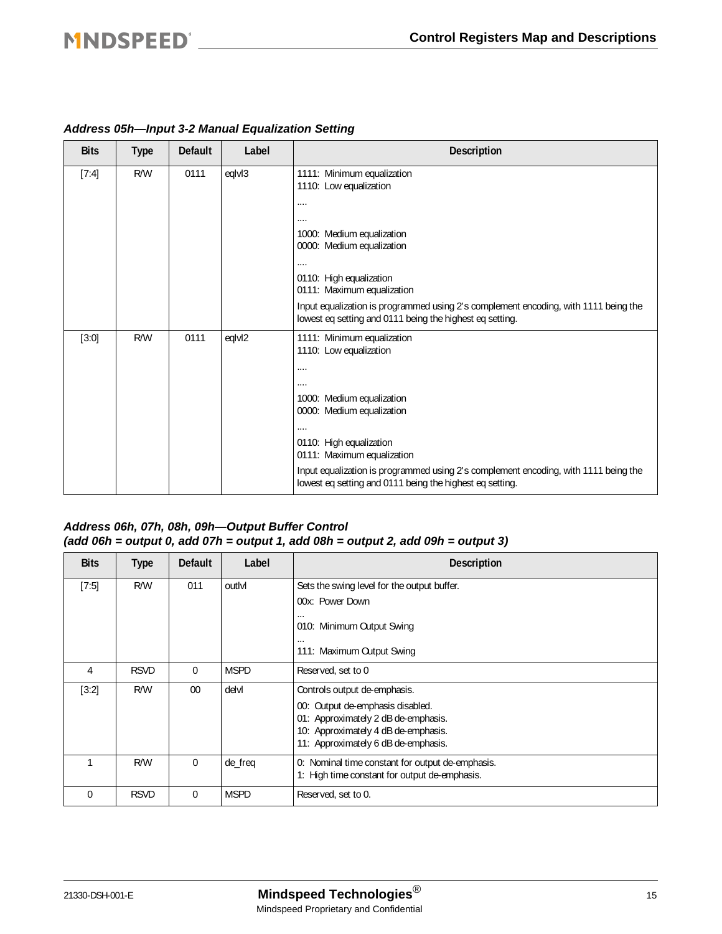| <b>Bits</b> | <b>Type</b> | <b>Default</b> | Label  | <b>Description</b>                                                                                                                                                                                                                                                                                                                     |
|-------------|-------------|----------------|--------|----------------------------------------------------------------------------------------------------------------------------------------------------------------------------------------------------------------------------------------------------------------------------------------------------------------------------------------|
| [7:4]       | R/W         | 0111           | eqlvl3 | 1111: Minimum equalization<br>1110: Low equalization<br><br><br>1000: Medium equalization<br>0000: Medium equalization<br><br>0110: High equalization<br>0111: Maximum equalization<br>Input equalization is programmed using 2's complement encoding, with 1111 being the<br>lowest eq setting and 0111 being the highest eq setting. |
| $[3:0]$     | R/W         | 0111           | eqlvl2 | 1111: Minimum equalization<br>1110: Low equalization<br><br>1000: Medium equalization<br>0000: Medium equalization<br>.<br>0110: High equalization<br>0111: Maximum equalization<br>Input equalization is programmed using 2's complement encoding, with 1111 being the<br>lowest eq setting and 0111 being the highest eq setting.    |

#### *Address 05h—Input 3-2 Manual Equalization Setting*

#### *Address 06h, 07h, 08h, 09h—Output Buffer Control (add 06h = output 0, add 07h = output 1, add 08h = output 2, add 09h = output 3)*

| <b>Bits</b> | Type        | <b>Default</b> | Label       | <b>Description</b>                                                                                |
|-------------|-------------|----------------|-------------|---------------------------------------------------------------------------------------------------|
| $[7:5]$     | R/W         | 011            | outlyl      | Sets the swing level for the output buffer.                                                       |
|             |             |                |             | 00x: Power Down                                                                                   |
|             |             |                |             | $\cdots$<br>010: Minimum Output Swing                                                             |
|             |             |                |             | $\cdots$<br>111: Maximum Output Swing                                                             |
| 4           | <b>RSVD</b> | $\Omega$       | <b>MSPD</b> | Reserved, set to 0                                                                                |
| $[3:2]$     | R/W         | 00             | delvl       | Controls output de-emphasis.                                                                      |
|             |             |                |             | 00: Output de-emphasis disabled.<br>01: Approximately 2 dB de-emphasis.                           |
|             |             |                |             | 10: Approximately 4 dB de-emphasis.                                                               |
|             |             |                |             | 11: Approximately 6 dB de-emphasis.                                                               |
|             | R/W         | $\Omega$       | de_freq     | 0: Nominal time constant for output de-emphasis.<br>1: High time constant for output de-emphasis. |
| $\Omega$    | <b>RSVD</b> | $\mathbf 0$    | <b>MSPD</b> | Reserved, set to 0.                                                                               |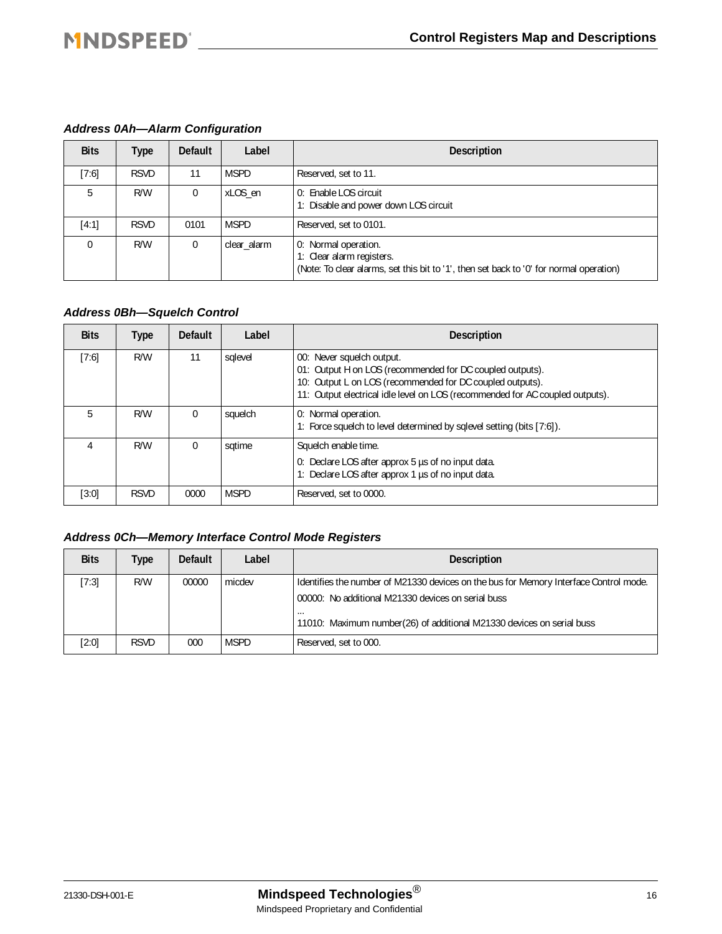#### *Address 0Ah—Alarm Configuration*

| <b>Bits</b> | Type        | <b>Default</b> | Label       | <b>Description</b>                                                                                                                           |
|-------------|-------------|----------------|-------------|----------------------------------------------------------------------------------------------------------------------------------------------|
| [7:6]       | <b>RSVD</b> | 11             | <b>MSPD</b> | Reserved, set to 11.                                                                                                                         |
| 5           | R/W         | 0              | xLOS en     | 0: Enable LOS circuit<br>1: Disable and power down LOS circuit                                                                               |
| [4:1]       | <b>RSVD</b> | 0101           | <b>MSPD</b> | Reserved, set to 0101.                                                                                                                       |
| $\Omega$    | R/W         | 0              | clear alarm | 0: Normal operation.<br>1: Clear alarm registers.<br>(Note: To clear alarms, set this bit to '1', then set back to '0' for normal operation) |

#### *Address 0Bh—Squelch Control*

| <b>Bits</b> | Type        | <b>Default</b> | Label       | <b>Description</b>                                                                                                                                                                                                                   |
|-------------|-------------|----------------|-------------|--------------------------------------------------------------------------------------------------------------------------------------------------------------------------------------------------------------------------------------|
| [7:6]       | R/W         | 11             | sglevel     | 00: Never squelch output.<br>01: Output H on LOS (recommended for DC coupled outputs).<br>10: Output L on LOS (recommended for DC coupled outputs).<br>11: Output electrical idle level on LOS (recommended for AC coupled outputs). |
| 5           | R/W         | $\Omega$       | squelch     | 0: Normal operation.<br>1: Force squelch to level determined by sqlevel setting (bits [7:6]).                                                                                                                                        |
|             | R/W         | $\Omega$       | sqtime      | Squelch enable time.<br>0: Declare LOS after approx 5 us of no input data.<br>1: Declare LOS after approx 1 µs of no input data.                                                                                                     |
| [3:0]       | <b>RSVD</b> | 0000           | <b>MSPD</b> | Reserved, set to 0000.                                                                                                                                                                                                               |

#### *Address 0Ch—Memory Interface Control Mode Registers*

| <b>Bits</b> | Type        | <b>Default</b> | Label  | <b>Description</b>                                                                                                                      |
|-------------|-------------|----------------|--------|-----------------------------------------------------------------------------------------------------------------------------------------|
| [7:3]       | R/W         | 00000          | micdev | Identifies the number of M21330 devices on the bus for Memory Interface Control mode.                                                   |
|             |             |                |        | 00000: No additional M21330 devices on serial buss<br>$\cdots$<br>11010: Maximum number(26) of additional M21330 devices on serial buss |
| [2:0]       | <b>RSVD</b> | 000            | MSPD   | Reserved, set to 000.                                                                                                                   |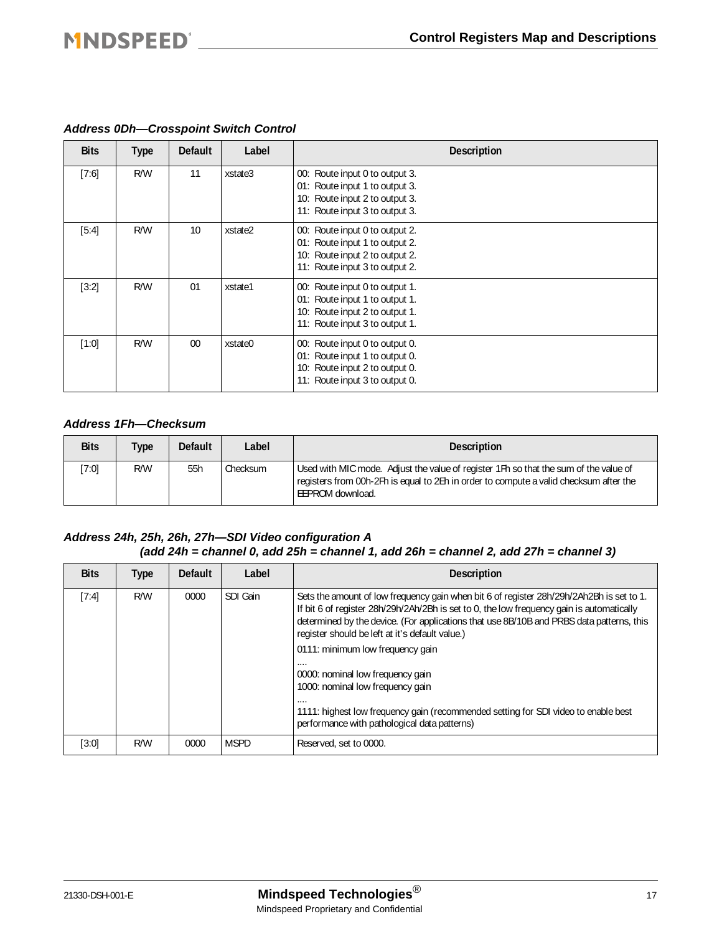| <b>Bits</b> | <b>Type</b> | <b>Default</b> | Label   | <b>Description</b>                                                                                                                   |
|-------------|-------------|----------------|---------|--------------------------------------------------------------------------------------------------------------------------------------|
| $[7:6]$     | R/W         | 11             | xstate3 | 00: Route input 0 to output 3.<br>01: Route input 1 to output 3.<br>10: Route input 2 to output 3.<br>11: Route input 3 to output 3. |
| [5:4]       | R/W         | 10             | xstate2 | 00: Route input 0 to output 2.<br>01: Route input 1 to output 2.<br>10: Route input 2 to output 2.<br>11: Route input 3 to output 2. |
| $[3:2]$     | R/W         | 01             | xstate1 | 00: Route input 0 to output 1.<br>01: Route input 1 to output 1.<br>10: Route input 2 to output 1.<br>11: Route input 3 to output 1. |
| $[1:0]$     | R/W         | 00             | xstate0 | 00: Route input 0 to output 0.<br>01: Route input 1 to output 0.<br>10: Route input 2 to output 0.<br>11: Route input 3 to output 0. |

#### *Address 0Dh—Crosspoint Switch Control*

#### *Address 1Fh—Checksum*

| <b>Bits</b> | <b>Type</b> | Default | Label    | <b>Description</b>                                                                                                                                                                                 |
|-------------|-------------|---------|----------|----------------------------------------------------------------------------------------------------------------------------------------------------------------------------------------------------|
| 7:01        | R/W         | 55h     | Checksum | Used with MIC mode. Adjust the value of register 1Fh so that the sum of the value of<br>registers from 00h-2Fh is equal to 2Eh in order to compute a valid checksum after the<br>LEEPROM download. |

#### *Address 24h, 25h, 26h, 27h—SDI Video configuration A (add 24h = channel 0, add 25h = channel 1, add 26h = channel 2, add 27h = channel 3)*

| <b>Bits</b> | <b>Type</b> | <b>Default</b> | Label       | <b>Description</b>                                                                                                                                                                                                                                                                                                                   |  |
|-------------|-------------|----------------|-------------|--------------------------------------------------------------------------------------------------------------------------------------------------------------------------------------------------------------------------------------------------------------------------------------------------------------------------------------|--|
| [7:4]       | R/W         | 0000           | SDI Gain    | Sets the amount of low frequency gain when bit 6 of register 28h/29h/2Ah2Bh is set to 1.<br>If bit 6 of register 28h/29h/2Ah/2Bh is set to 0, the low frequency gain is automatically<br>determined by the device. (For applications that use 8B/10B and PRBS data patterns, this<br>register should be left at it's default value.) |  |
|             |             |                |             | 0111: minimum low frequency gain                                                                                                                                                                                                                                                                                                     |  |
|             |             |                |             | 0000: nominal low frequency gain<br>1000: nominal low frequency gain                                                                                                                                                                                                                                                                 |  |
|             |             |                |             | .<br>1111: highest low frequency gain (recommended setting for SDI video to enable best<br>performance with pathological data patterns)                                                                                                                                                                                              |  |
| [3:0]       | R/W         | 0000           | <b>MSPD</b> | Reserved, set to 0000.                                                                                                                                                                                                                                                                                                               |  |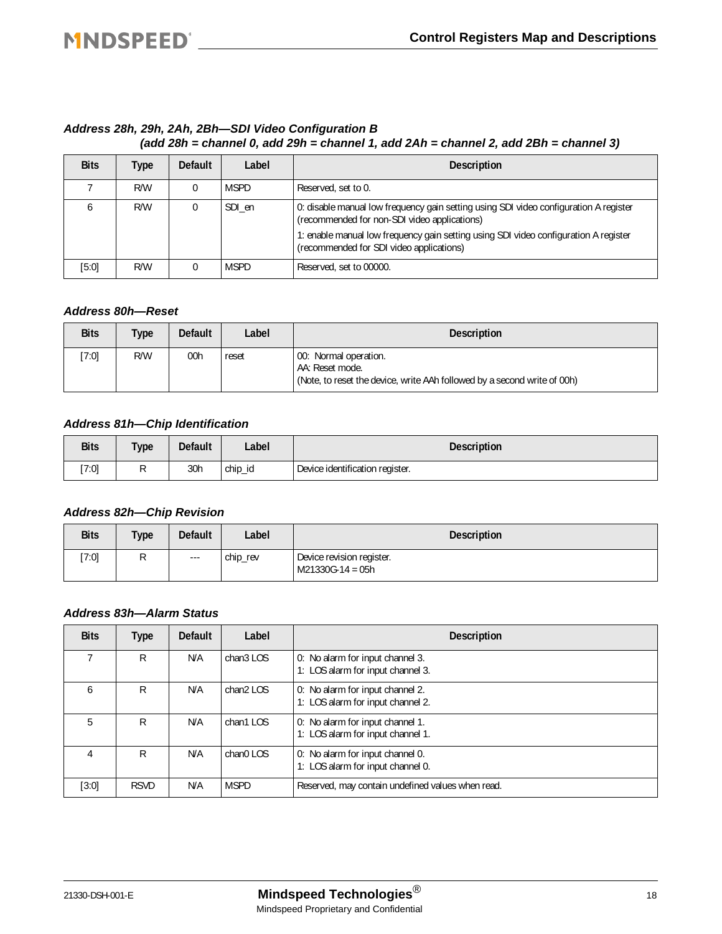#### *Address 28h, 29h, 2Ah, 2Bh—SDI Video Configuration B (add 28h = channel 0, add 29h = channel 1, add 2Ah = channel 2, add 2Bh = channel 3)*

| <b>Bits</b> | Type | <b>Default</b> | Label                                                                                                                                           | <b>Description</b>                                                                                                               |
|-------------|------|----------------|-------------------------------------------------------------------------------------------------------------------------------------------------|----------------------------------------------------------------------------------------------------------------------------------|
|             | R/W  |                | <b>MSPD</b>                                                                                                                                     | Reserved, set to 0.                                                                                                              |
|             | R/W  |                | 0: disable manual low frequency gain setting using SDI video configuration A register<br>SDI en<br>(recommended for non-SDI video applications) |                                                                                                                                  |
|             |      |                |                                                                                                                                                 | 1: enable manual low frequency gain setting using SDI video configuration A register<br>(recommended for SDI video applications) |
| [5:0]       | R/W  |                | <b>MSPD</b>                                                                                                                                     | Reserved, set to 00000.                                                                                                          |

#### *Address 80h—Reset*

| <b>Bits</b> | Type | <b>Default</b> | Label | <b>Description</b>                                                                                                   |
|-------------|------|----------------|-------|----------------------------------------------------------------------------------------------------------------------|
| $7:0$ ]     | R/W  | 00h            | reset | 00: Normal operation.<br>AA: Reset mode.<br>(Note, to reset the device, write AAh followed by a second write of 00h) |

#### *Address 81h—Chip Identification*

| <b>Bits</b> | <b>Type</b> | <b>Default</b> | Label   | <b>Description</b>              |
|-------------|-------------|----------------|---------|---------------------------------|
| [7:0]       | $\cdot$     | 30h            | chip_id | Device identification register. |

#### *Address 82h—Chip Revision*

| <b>Bits</b> | <b>Type</b> | <b>Default</b>      | Label    | <b>Description</b>                              |
|-------------|-------------|---------------------|----------|-------------------------------------------------|
| [7:0]       |             | $\qquad \qquad - -$ | chip_rev | Device revision register.<br>$M21330G-14 = 05h$ |

#### *Address 83h—Alarm Status*

| <b>Bits</b> | Type        | <b>Default</b> | Label       | <b>Description</b>                                                    |  |
|-------------|-------------|----------------|-------------|-----------------------------------------------------------------------|--|
|             | R           | N/A            | chan3 LOS   | 0: No alarm for input channel 3.<br>1: LOS alarm for input channel 3. |  |
| 6           | R           | N/A            | chan2 LOS   | 0: No alarm for input channel 2.<br>1: LOS alarm for input channel 2. |  |
| 5           | R           | N/A            | chan1 LOS   | 0: No alarm for input channel 1.<br>1: LOS alarm for input channel 1. |  |
| 4           | R           | N/A            | chan0 LOS   | 0: No alarm for input channel 0.<br>1: LOS alarm for input channel 0. |  |
| $[3:0]$     | <b>RSVD</b> | N/A            | <b>MSPD</b> | Reserved, may contain undefined values when read.                     |  |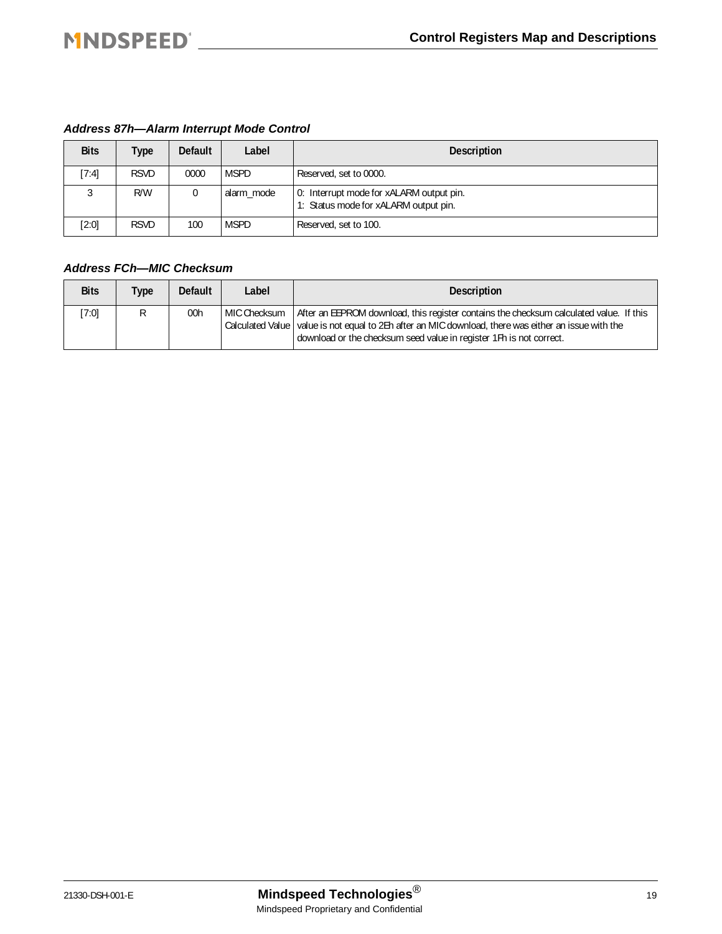#### *Address 87h—Alarm Interrupt Mode Control*

| <b>Bits</b> | <b>Type</b> | <b>Default</b> | Label       | <b>Description</b>                                                                |  |
|-------------|-------------|----------------|-------------|-----------------------------------------------------------------------------------|--|
| [7:4]       | <b>RSVD</b> | 0000           | <b>MSPD</b> | Reserved, set to 0000.                                                            |  |
|             | R/W         |                | alarm_mode  | 0: Interrupt mode for xALARM output pin.<br>1: Status mode for xALARM output pin. |  |
| [2:0]       | <b>RSVD</b> | 100            | <b>MSPD</b> | Reserved, set to 100.                                                             |  |

#### *Address FCh—MIC Checksum*

| <b>Bits</b> | <b>Type</b> | <b>Default</b> | Label          | <b>Description</b>                                                                                                                                                                                                                                                       |
|-------------|-------------|----------------|----------------|--------------------------------------------------------------------------------------------------------------------------------------------------------------------------------------------------------------------------------------------------------------------------|
| [7:0]       | R           | 00h            | l MIC Checksum | After an EEPROM download, this register contains the checksum calculated value. If this<br>Calculated Value   value is not equal to 2Eh after an MIC download, there was either an issue with the<br>download or the checksum seed value in register 1Fh is not correct. |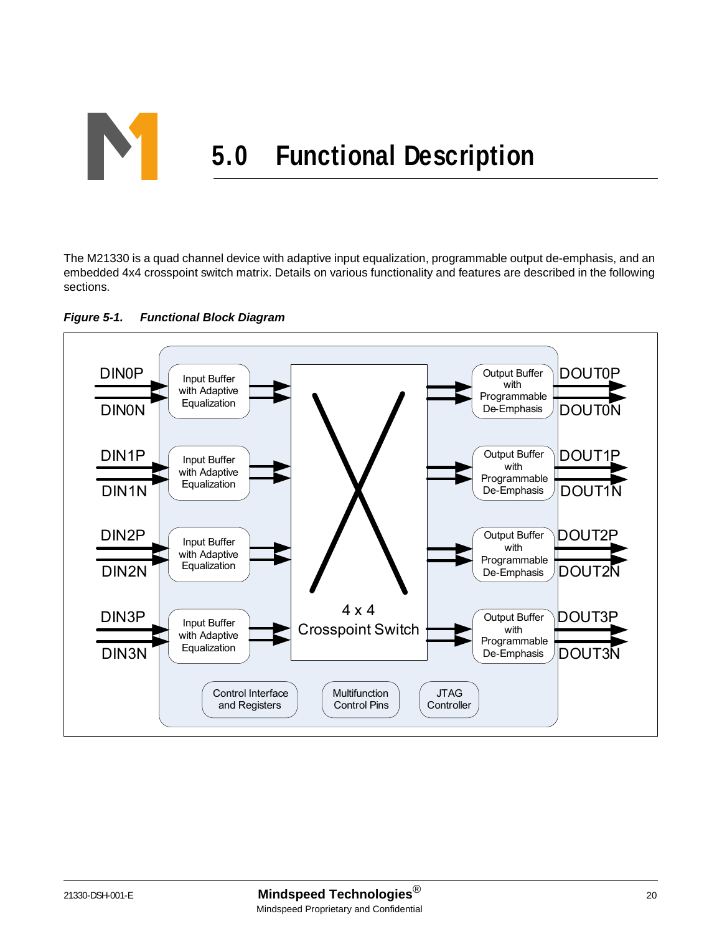

The M21330 is a quad channel device with adaptive input equalization, programmable output de-emphasis, and an embedded 4x4 crosspoint switch matrix. Details on various functionality and features are described in the following sections.



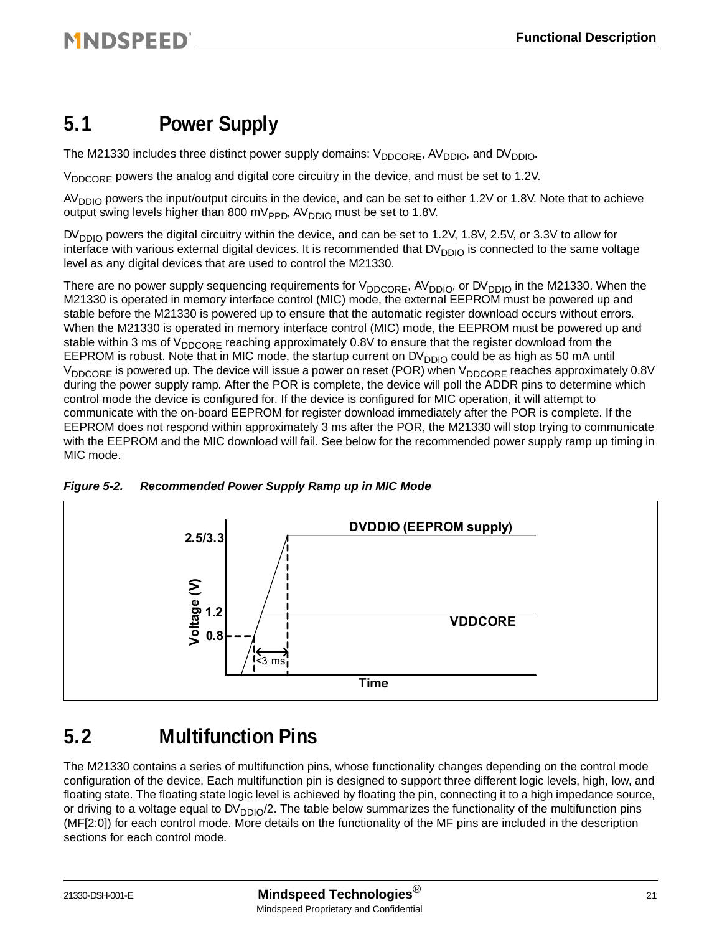### <span id="page-20-0"></span>**5.1 Power Supply**

The M21330 includes three distinct power supply domains:  $V_{DDCORE}$ , AV<sub>DDIO</sub>, and DV<sub>DDIO</sub>.

V<sub>DDCORE</sub> powers the analog and digital core circuitry in the device, and must be set to 1.2V.

 $AV<sub>DDIO</sub>$  powers the input/output circuits in the device, and can be set to either 1.2V or 1.8V. Note that to achieve output swing levels higher than 800 mV<sub>PPD</sub>, AV<sub>DDIO</sub> must be set to 1.8V.

 $DV_{DDIO}$  powers the digital circuitry within the device, and can be set to 1.2V, 1.8V, 2.5V, or 3.3V to allow for interface with various external digital devices. It is recommended that DV<sub>DDIO</sub> is connected to the same voltage level as any digital devices that are used to control the M21330.

There are no power supply sequencing requirements for  $V_{DDCORF}$ , AV<sub>DDIO</sub>, or DV<sub>DDIO</sub> in the M21330. When the M21330 is operated in memory interface control (MIC) mode, the external EEPROM must be powered up and stable before the M21330 is powered up to ensure that the automatic register download occurs without errors. When the M21330 is operated in memory interface control (MIC) mode, the EEPROM must be powered up and stable within 3 ms of V<sub>DDCORE</sub> reaching approximately 0.8V to ensure that the register download from the EEPROM is robust. Note that in MIC mode, the startup current on  $DV<sub>DDIO</sub>$  could be as high as 50 mA until V<sub>DDCORE</sub> is powered up. The device will issue a power on reset (POR) when V<sub>DDCORE</sub> reaches approximately 0.8V during the power supply ramp. After the POR is complete, the device will poll the ADDR pins to determine which control mode the device is configured for. If the device is configured for MIC operation, it will attempt to communicate with the on-board EEPROM for register download immediately after the POR is complete. If the EEPROM does not respond within approximately 3 ms after the POR, the M21330 will stop trying to communicate with the EEPROM and the MIC download will fail. See below for the recommended power supply ramp up timing in MIC mode.



<span id="page-20-2"></span><span id="page-20-1"></span>

### **5.2 Multifunction Pins**

The M21330 contains a series of multifunction pins, whose functionality changes depending on the control mode configuration of the device. Each multifunction pin is designed to support three different logic levels, high, low, and floating state. The floating state logic level is achieved by floating the pin, connecting it to a high impedance source, or driving to a voltage equal to  $DV_{DDIO}/2$ . The table below summarizes the functionality of the multifunction pins (MF[2:0]) for each control mode. More details on the functionality of the MF pins are included in the description sections for each control mode.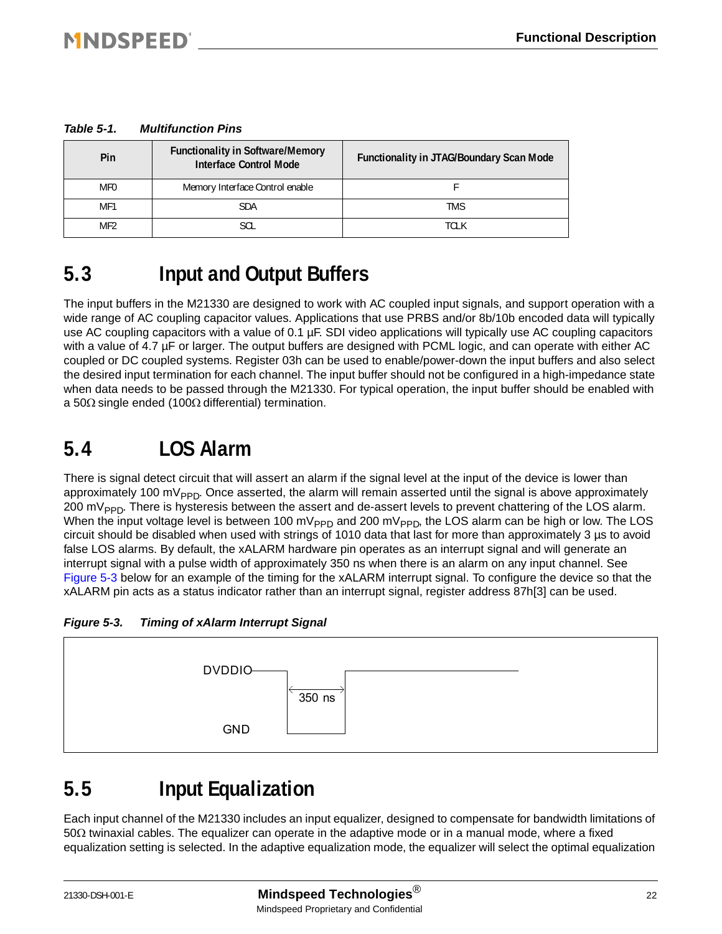#### *Table 5-1. Multifunction Pins*

| Pin             | <b>Functionality in Software/Memory</b><br><b>Interface Control Mode</b> | <b>Functionality in JTAG/Boundary Scan Mode</b> |
|-----------------|--------------------------------------------------------------------------|-------------------------------------------------|
| MF <sub>0</sub> | Memory Interface Control enable                                          |                                                 |
| MF <sub>1</sub> | <b>SDA</b>                                                               | <b>TMS</b>                                      |
| MF <sub>2</sub> | SCL                                                                      | tci k                                           |

### **5.3 Input and Output Buffers**

The input buffers in the M21330 are designed to work with AC coupled input signals, and support operation with a wide range of AC coupling capacitor values. Applications that use PRBS and/or 8b/10b encoded data will typically use AC coupling capacitors with a value of 0.1 µF. SDI video applications will typically use AC coupling capacitors with a value of 4.7 µF or larger. The output buffers are designed with PCML logic, and can operate with either AC coupled or DC coupled systems. Register 03h can be used to enable/power-down the input buffers and also select the desired input termination for each channel. The input buffer should not be configured in a high-impedance state when data needs to be passed through the M21330. For typical operation, the input buffer should be enabled with a 50Ω single ended (100Ω differential) termination.

### **5.4 LOS Alarm**

There is signal detect circuit that will assert an alarm if the signal level at the input of the device is lower than approximately 100 m $V_{\text{PPP}}$ . Once asserted, the alarm will remain asserted until the signal is above approximately 200 m $V_{\text{PPD}}$ . There is hysteresis between the assert and de-assert levels to prevent chattering of the LOS alarm. When the input voltage level is between 100 mV<sub>PPD</sub> and 200 mV<sub>PPD</sub>, the LOS alarm can be high or low. The LOS circuit should be disabled when used with strings of 1010 data that last for more than approximately 3 µs to avoid false LOS alarms. By default, the xALARM hardware pin operates as an interrupt signal and will generate an interrupt signal with a pulse width of approximately 350 ns when there is an alarm on any input channel. See [Figure 5-3](#page-21-0) below for an example of the timing for the xALARM interrupt signal. To configure the device so that the xALARM pin acts as a status indicator rather than an interrupt signal, register address 87h[3] can be used.

<span id="page-21-0"></span>*Figure 5-3. Timing of xAlarm Interrupt Signal*



### **5.5 Input Equalization**

Each input channel of the M21330 includes an input equalizer, designed to compensate for bandwidth limitations of 50Ω twinaxial cables. The equalizer can operate in the adaptive mode or in a manual mode, where a fixed equalization setting is selected. In the adaptive equalization mode, the equalizer will select the optimal equalization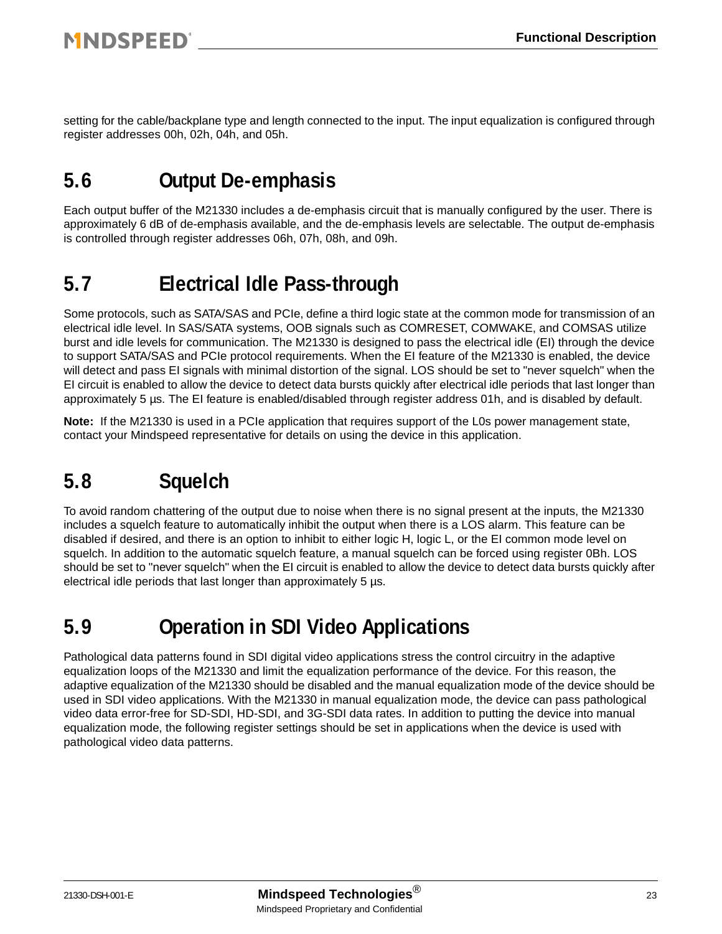setting for the cable/backplane type and length connected to the input. The input equalization is configured through register addresses 00h, 02h, 04h, and 05h.

### **5.6 Output De-emphasis**

Each output buffer of the M21330 includes a de-emphasis circuit that is manually configured by the user. There is approximately 6 dB of de-emphasis available, and the de-emphasis levels are selectable. The output de-emphasis is controlled through register addresses 06h, 07h, 08h, and 09h.

### **5.7 Electrical Idle Pass-through**

Some protocols, such as SATA/SAS and PCIe, define a third logic state at the common mode for transmission of an electrical idle level. In SAS/SATA systems, OOB signals such as COMRESET, COMWAKE, and COMSAS utilize burst and idle levels for communication. The M21330 is designed to pass the electrical idle (EI) through the device to support SATA/SAS and PCIe protocol requirements. When the EI feature of the M21330 is enabled, the device will detect and pass EI signals with minimal distortion of the signal. LOS should be set to "never squelch" when the EI circuit is enabled to allow the device to detect data bursts quickly after electrical idle periods that last longer than approximately 5 µs. The EI feature is enabled/disabled through register address 01h, and is disabled by default.

**Note:** If the M21330 is used in a PCIe application that requires support of the L0s power management state, contact your Mindspeed representative for details on using the device in this application.

# **5.8 Squelch**

To avoid random chattering of the output due to noise when there is no signal present at the inputs, the M21330 includes a squelch feature to automatically inhibit the output when there is a LOS alarm. This feature can be disabled if desired, and there is an option to inhibit to either logic H, logic L, or the EI common mode level on squelch. In addition to the automatic squelch feature, a manual squelch can be forced using register 0Bh. LOS should be set to "never squelch" when the EI circuit is enabled to allow the device to detect data bursts quickly after electrical idle periods that last longer than approximately 5 µs.

### **5.9 Operation in SDI Video Applications**

Pathological data patterns found in SDI digital video applications stress the control circuitry in the adaptive equalization loops of the M21330 and limit the equalization performance of the device. For this reason, the adaptive equalization of the M21330 should be disabled and the manual equalization mode of the device should be used in SDI video applications. With the M21330 in manual equalization mode, the device can pass pathological video data error-free for SD-SDI, HD-SDI, and 3G-SDI data rates. In addition to putting the device into manual equalization mode, the following register settings should be set in applications when the device is used with pathological video data patterns.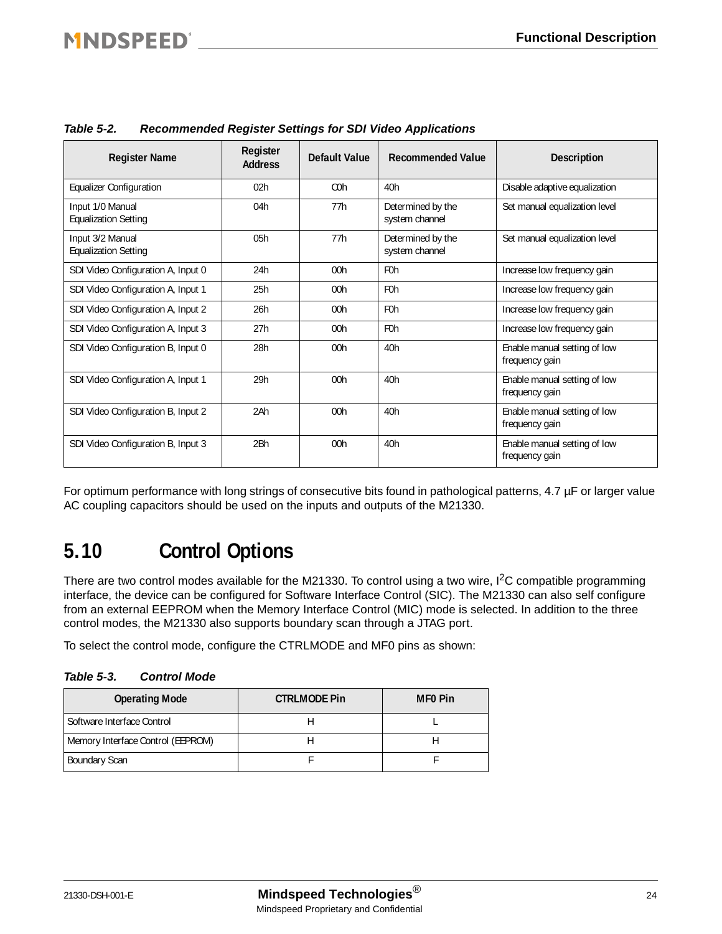### **MNDSPEED®**

| <b>Register Name</b>                            | Register<br><b>Address</b> | Default Value    | <b>Recommended Value</b>            | <b>Description</b>                             |
|-------------------------------------------------|----------------------------|------------------|-------------------------------------|------------------------------------------------|
| <b>Equalizer Configuration</b>                  | 02h                        | C <sub>O</sub> h | 40h                                 | Disable adaptive equalization                  |
| Input 1/0 Manual<br><b>Equalization Setting</b> | 04h                        | 77h              | Determined by the<br>system channel | Set manual equalization level                  |
| Input 3/2 Manual<br><b>Equalization Setting</b> | 05h                        | 77h              | Determined by the<br>system channel | Set manual equalization level                  |
| SDI Video Configuration A, Input 0              | 24h                        | 00h              | F <sub>0</sub> h                    | Increase low frequency gain                    |
| SDI Video Configuration A, Input 1              | 25h                        | 00h              | F <sub>0</sub> h                    | Increase low frequency gain                    |
| SDI Video Configuration A, Input 2              | 26h                        | 00h              | F <sub>0</sub> h                    | Increase low frequency gain                    |
| SDI Video Configuration A, Input 3              | 27h                        | 00h              | F <sub>0</sub> h                    | Increase low frequency gain                    |
| SDI Video Configuration B, Input 0              | 28h                        | 00 <sub>h</sub>  | 40h                                 | Enable manual setting of low<br>frequency gain |
| SDI Video Configuration A, Input 1              | 29h                        | 00 <sub>h</sub>  | 40h                                 | Enable manual setting of low<br>frequency gain |
| SDI Video Configuration B, Input 2              | 2Ah                        | 00 <sub>h</sub>  | 40h                                 | Enable manual setting of low<br>frequency gain |
| SDI Video Configuration B, Input 3              | 2 <sub>Bh</sub>            | 00 <sub>h</sub>  | 40h                                 | Enable manual setting of low<br>frequency gain |

*Table 5-2. Recommended Register Settings for SDI Video Applications*

For optimum performance with long strings of consecutive bits found in pathological patterns, 4.7 µF or larger value AC coupling capacitors should be used on the inputs and outputs of the M21330.

### **5.10 Control Options**

There are two control modes available for the M21330. To control using a two wire,  $I<sup>2</sup>C$  compatible programming interface, the device can be configured for Software Interface Control (SIC). The M21330 can also self configure from an external EEPROM when the Memory Interface Control (MIC) mode is selected. In addition to the three control modes, the M21330 also supports boundary scan through a JTAG port.

To select the control mode, configure the CTRLMODE and MF0 pins as shown:

| <b>Operating Mode</b>             | <b>CTRLMODE Pin</b> | <b>MFO</b> Pin |
|-----------------------------------|---------------------|----------------|
| Software Interface Control        |                     |                |
| Memory Interface Control (EEPROM) |                     |                |
| <b>Boundary Scan</b>              |                     |                |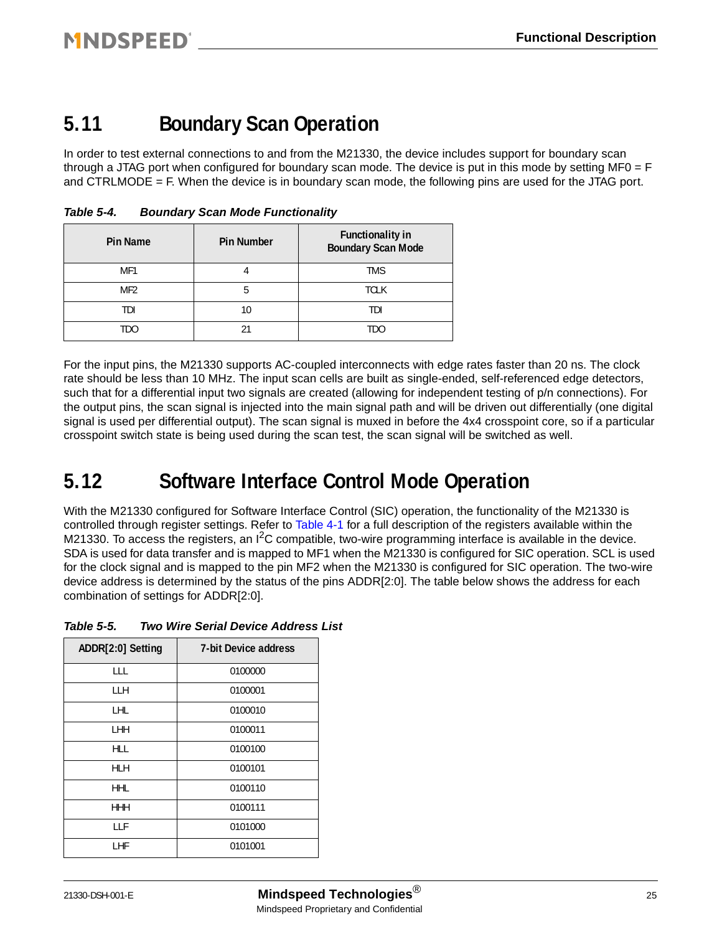### **5.11 Boundary Scan Operation**

In order to test external connections to and from the M21330, the device includes support for boundary scan through a JTAG port when configured for boundary scan mode. The device is put in this mode by setting MF0 = F and CTRLMODE  $=$  F. When the device is in boundary scan mode, the following pins are used for the JTAG port.

| <b>Pin Name</b> | <b>Pin Number</b> | <b>Functionality in</b><br><b>Boundary Scan Mode</b> |
|-----------------|-------------------|------------------------------------------------------|
| MF <sub>1</sub> |                   | <b>TMS</b>                                           |
| MF <sub>2</sub> |                   | <b>TCLK</b>                                          |
| tdi             |                   | TDI                                                  |
| TDO             |                   | TDO                                                  |

*Table 5-4. Boundary Scan Mode Functionality*

For the input pins, the M21330 supports AC-coupled interconnects with edge rates faster than 20 ns. The clock rate should be less than 10 MHz. The input scan cells are built as single-ended, self-referenced edge detectors, such that for a differential input two signals are created (allowing for independent testing of p/n connections). For the output pins, the scan signal is injected into the main signal path and will be driven out differentially (one digital signal is used per differential output). The scan signal is muxed in before the 4x4 crosspoint core, so if a particular crosspoint switch state is being used during the scan test, the scan signal will be switched as well.

### <span id="page-24-0"></span>**5.12 Software Interface Control Mode Operation**

With the M21330 configured for Software Interface Control (SIC) operation, the functionality of the M21330 is controlled through register settings. Refer to [Table 4-1](#page-11-0) for a full description of the registers available within the M21330. To access the registers, an  ${}^{12}C$  compatible, two-wire programming interface is available in the device. SDA is used for data transfer and is mapped to MF1 when the M21330 is configured for SIC operation. SCL is used for the clock signal and is mapped to the pin MF2 when the M21330 is configured for SIC operation. The two-wire device address is determined by the status of the pins ADDR[2:0]. The table below shows the address for each combination of settings for ADDR[2:0].

| Table 5-5. |  | <b>Two Wire Serial Device Address List</b> |  |
|------------|--|--------------------------------------------|--|
|------------|--|--------------------------------------------|--|

| ADDR[2:0] Setting | <b>7-bit Device address</b> |
|-------------------|-----------------------------|
| LLL               | 0100000                     |
| LLH               | 0100001                     |
| LHL               | 0100010                     |
| LHH               | 0100011                     |
| HLL               | 0100100                     |
| HLH               | 0100101                     |
| <b>HHL</b>        | 0100110                     |
| <b>HHH</b>        | 0100111                     |
| LLF               | 0101000                     |
| LHF               | 0101001                     |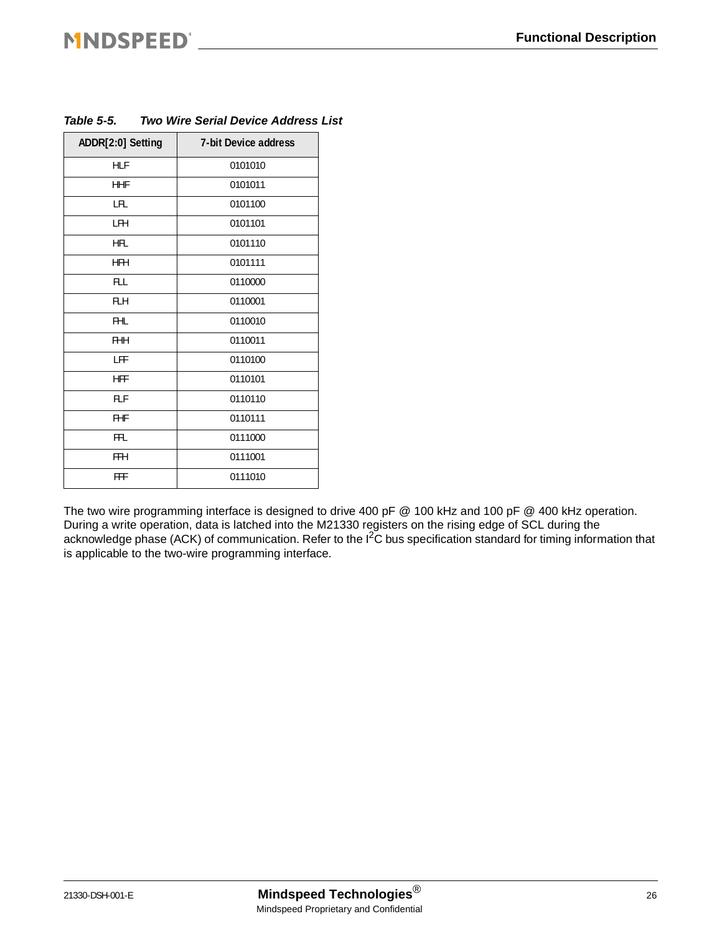## **MNDSPEED®**

| ADDR[2:0] Setting | <b>7-bit Device address</b> |
|-------------------|-----------------------------|
| HLF               | 0101010                     |
| <b>HHF</b>        | 0101011                     |
| LFL               | 0101100                     |
| LFH               | 0101101                     |
| HFL               | 0101110                     |
| <b>HFH</b>        | 0101111                     |
| <b>FLL</b>        | 0110000                     |
| FLH               | 0110001                     |
| FHL               | 0110010                     |
| <b>FHH</b>        | 0110011                     |
| LFF               | 0110100                     |
| HFF               | 0110101                     |
| <b>FLF</b>        | 0110110                     |
| <b>FHF</b>        | 0110111                     |
| <b>FFL</b>        | 0111000                     |
| FFH               | 0111001                     |
| FFF               | 0111010                     |

#### *Table 5-5. Two Wire Serial Device Address List*

The two wire programming interface is designed to drive 400 pF @ 100 kHz and 100 pF @ 400 kHz operation. During a write operation, data is latched into the M21330 registers on the rising edge of SCL during the acknowledge phase (ACK) of communication. Refer to the I<sup>2</sup>C bus specification standard for timing information that is applicable to the two-wire programming interface.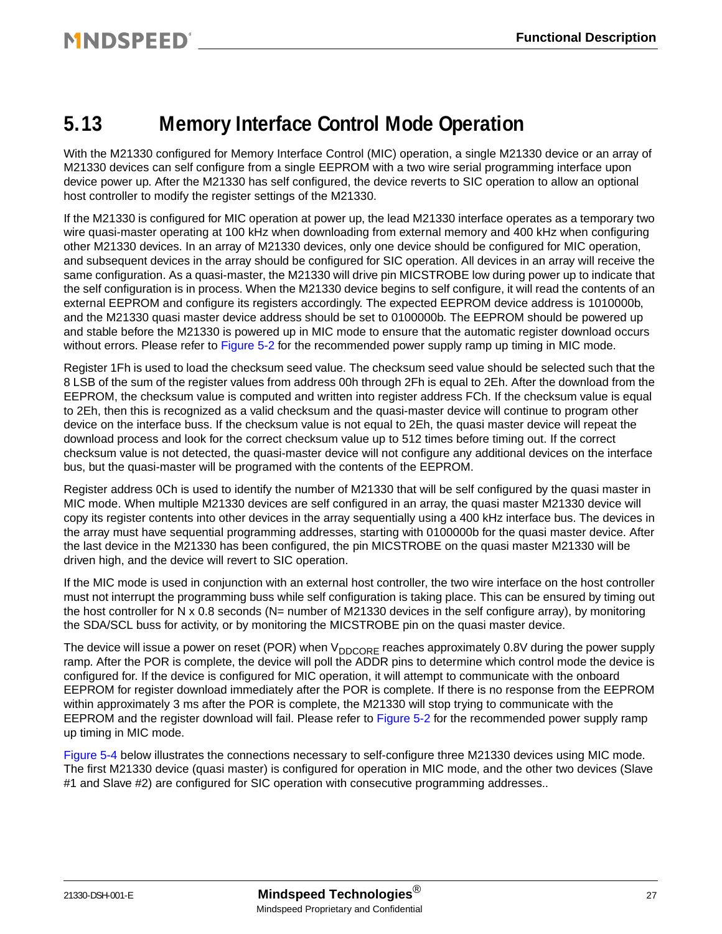### <span id="page-26-0"></span>**5.13 Memory Interface Control Mode Operation**

With the M21330 configured for Memory Interface Control (MIC) operation, a single M21330 device or an array of M21330 devices can self configure from a single EEPROM with a two wire serial programming interface upon device power up. After the M21330 has self configured, the device reverts to SIC operation to allow an optional host controller to modify the register settings of the M21330.

If the M21330 is configured for MIC operation at power up, the lead M21330 interface operates as a temporary two wire quasi-master operating at 100 kHz when downloading from external memory and 400 kHz when configuring other M21330 devices. In an array of M21330 devices, only one device should be configured for MIC operation, and subsequent devices in the array should be configured for SIC operation. All devices in an array will receive the same configuration. As a quasi-master, the M21330 will drive pin MICSTROBE low during power up to indicate that the self configuration is in process. When the M21330 device begins to self configure, it will read the contents of an external EEPROM and configure its registers accordingly. The expected EEPROM device address is 1010000b, and the M21330 quasi master device address should be set to 0100000b. The EEPROM should be powered up and stable before the M21330 is powered up in MIC mode to ensure that the automatic register download occurs without errors. Please refer to [Figure 5-2](#page-20-2) for the recommended power supply ramp up timing in MIC mode.

Register 1Fh is used to load the checksum seed value. The checksum seed value should be selected such that the 8 LSB of the sum of the register values from address 00h through 2Fh is equal to 2Eh. After the download from the EEPROM, the checksum value is computed and written into register address FCh. If the checksum value is equal to 2Eh, then this is recognized as a valid checksum and the quasi-master device will continue to program other device on the interface buss. If the checksum value is not equal to 2Eh, the quasi master device will repeat the download process and look for the correct checksum value up to 512 times before timing out. If the correct checksum value is not detected, the quasi-master device will not configure any additional devices on the interface bus, but the quasi-master will be programed with the contents of the EEPROM.

Register address 0Ch is used to identify the number of M21330 that will be self configured by the quasi master in MIC mode. When multiple M21330 devices are self configured in an array, the quasi master M21330 device will copy its register contents into other devices in the array sequentially using a 400 kHz interface bus. The devices in the array must have sequential programming addresses, starting with 0100000b for the quasi master device. After the last device in the M21330 has been configured, the pin MICSTROBE on the quasi master M21330 will be driven high, and the device will revert to SIC operation.

If the MIC mode is used in conjunction with an external host controller, the two wire interface on the host controller must not interrupt the programming buss while self configuration is taking place. This can be ensured by timing out the host controller for N x 0.8 seconds (N= number of M21330 devices in the self configure array), by monitoring the SDA/SCL buss for activity, or by monitoring the MICSTROBE pin on the quasi master device.

The device will issue a power on reset (POR) when  $V_{DDCORE}$  reaches approximately 0.8V during the power supply ramp. After the POR is complete, the device will poll the ADDR pins to determine which control mode the device is configured for. If the device is configured for MIC operation, it will attempt to communicate with the onboard EEPROM for register download immediately after the POR is complete. If there is no response from the EEPROM within approximately 3 ms after the POR is complete, the M21330 will stop trying to communicate with the EEPROM and the register download will fail. Please refer to [Figure 5-2](#page-20-2) for the recommended power supply ramp up timing in MIC mode.

[Figure 5-4](#page-27-1) below illustrates the connections necessary to self-configure three M21330 devices using MIC mode. The first M21330 device (quasi master) is configured for operation in MIC mode, and the other two devices (Slave #1 and Slave #2) are configured for SIC operation with consecutive programming addresses..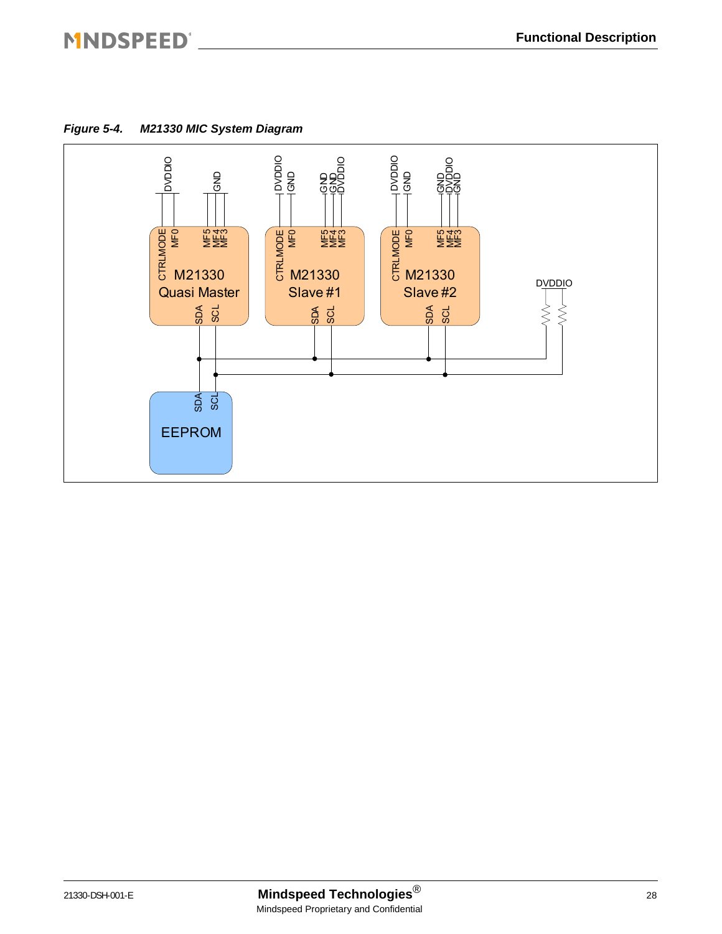### MNDSPEED®

<span id="page-27-1"></span><span id="page-27-0"></span>*Figure 5-4. M21330 MIC System Diagram*